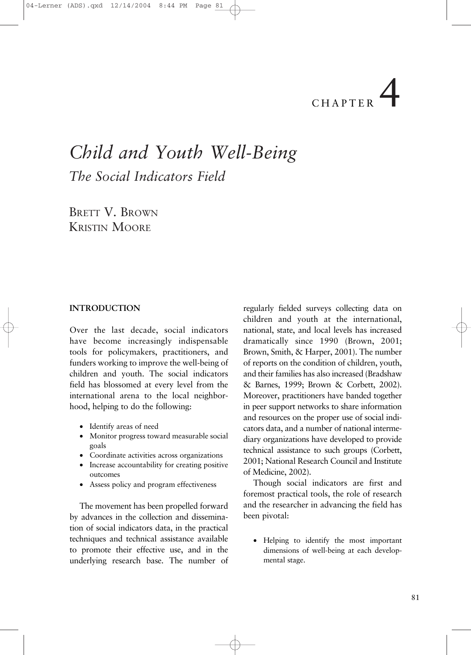# 4 CHAPTER

# *Child and Youth Well-Being The Social Indicators Field*

BRETT V. BROWN KRISTIN MOORE

## **INTRODUCTION**

Over the last decade, social indicators have become increasingly indispensable tools for policymakers, practitioners, and funders working to improve the well-being of children and youth. The social indicators field has blossomed at every level from the international arena to the local neighborhood, helping to do the following:

- Identify areas of need
- Monitor progress toward measurable social goals
- Coordinate activities across organizations
- Increase accountability for creating positive outcomes
- Assess policy and program effectiveness

The movement has been propelled forward by advances in the collection and dissemination of social indicators data, in the practical techniques and technical assistance available to promote their effective use, and in the underlying research base. The number of regularly fielded surveys collecting data on children and youth at the international, national, state, and local levels has increased dramatically since 1990 (Brown, 2001; Brown, Smith, & Harper, 2001). The number of reports on the condition of children, youth, and their families has also increased (Bradshaw & Barnes, 1999; Brown & Corbett, 2002). Moreover, practitioners have banded together in peer support networks to share information and resources on the proper use of social indicators data, and a number of national intermediary organizations have developed to provide technical assistance to such groups (Corbett, 2001; National Research Council and Institute of Medicine, 2002).

Though social indicators are first and foremost practical tools, the role of research and the researcher in advancing the field has been pivotal:

• Helping to identify the most important dimensions of well-being at each developmental stage.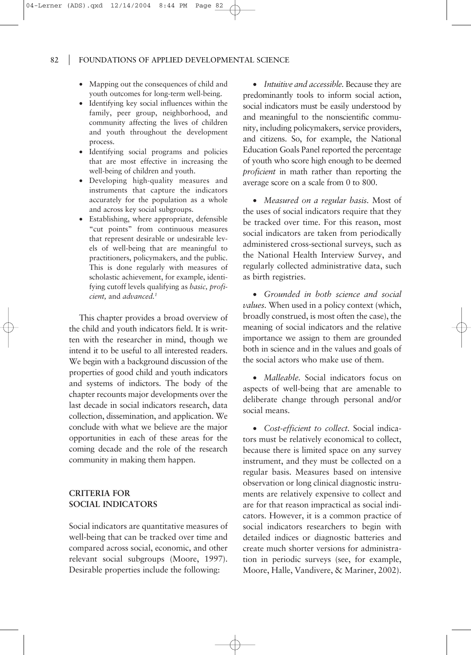- Mapping out the consequences of child and youth outcomes for long-term well-being.
- Identifying key social influences within the family, peer group, neighborhood, and community affecting the lives of children and youth throughout the development process.
- Identifying social programs and policies that are most effective in increasing the well-being of children and youth.
- Developing high-quality measures and instruments that capture the indicators accurately for the population as a whole and across key social subgroups.
- Establishing, where appropriate, defensible "cut points" from continuous measures that represent desirable or undesirable levels of well-being that are meaningful to practitioners, policymakers, and the public. This is done regularly with measures of scholastic achievement, for example, identifying cutoff levels qualifying as *basic, proficient,* and *advanced.1*

This chapter provides a broad overview of the child and youth indicators field. It is written with the researcher in mind, though we intend it to be useful to all interested readers. We begin with a background discussion of the properties of good child and youth indicators and systems of indictors. The body of the chapter recounts major developments over the last decade in social indicators research, data collection, dissemination, and application. We conclude with what we believe are the major opportunities in each of these areas for the coming decade and the role of the research community in making them happen.

# **CRITERIA FOR SOCIAL INDICATORS**

Social indicators are quantitative measures of well-being that can be tracked over time and compared across social, economic, and other relevant social subgroups (Moore, 1997). Desirable properties include the following:

• *Intuitive and accessible.* Because they are predominantly tools to inform social action, social indicators must be easily understood by and meaningful to the nonscientific community, including policymakers, service providers, and citizens. So, for example, the National Education Goals Panel reported the percentage of youth who score high enough to be deemed *proficient* in math rather than reporting the average score on a scale from 0 to 800.

• *Measured on a regular basis.* Most of the uses of social indicators require that they be tracked over time. For this reason, most social indicators are taken from periodically administered cross-sectional surveys, such as the National Health Interview Survey, and regularly collected administrative data, such as birth registries.

• *Grounded in both science and social values.* When used in a policy context (which, broadly construed, is most often the case), the meaning of social indicators and the relative importance we assign to them are grounded both in science and in the values and goals of the social actors who make use of them.

• *Malleable.* Social indicators focus on aspects of well-being that are amenable to deliberate change through personal and/or social means.

• *Cost-efficient to collect.* Social indicators must be relatively economical to collect, because there is limited space on any survey instrument, and they must be collected on a regular basis. Measures based on intensive observation or long clinical diagnostic instruments are relatively expensive to collect and are for that reason impractical as social indicators. However, it is a common practice of social indicators researchers to begin with detailed indices or diagnostic batteries and create much shorter versions for administration in periodic surveys (see, for example, Moore, Halle, Vandivere, & Mariner, 2002).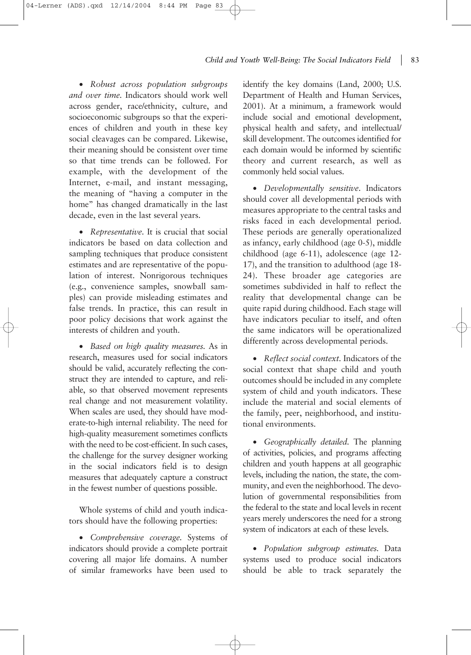• *Robust across population subgroups and over time.* Indicators should work well across gender, race/ethnicity, culture, and socioeconomic subgroups so that the experiences of children and youth in these key social cleavages can be compared. Likewise, their meaning should be consistent over time so that time trends can be followed. For example, with the development of the Internet, e-mail, and instant messaging, the meaning of "having a computer in the home" has changed dramatically in the last decade, even in the last several years.

• *Representative.* It is crucial that social indicators be based on data collection and sampling techniques that produce consistent estimates and are representative of the population of interest. Nonrigorous techniques (e.g., convenience samples, snowball samples) can provide misleading estimates and false trends. In practice, this can result in poor policy decisions that work against the interests of children and youth.

• *Based on high quality measures.* As in research, measures used for social indicators should be valid, accurately reflecting the construct they are intended to capture, and reliable, so that observed movement represents real change and not measurement volatility. When scales are used, they should have moderate-to-high internal reliability. The need for high-quality measurement sometimes conflicts with the need to be cost-efficient. In such cases, the challenge for the survey designer working in the social indicators field is to design measures that adequately capture a construct in the fewest number of questions possible.

Whole systems of child and youth indicators should have the following properties:

• *Comprehensive coverage.* Systems of indicators should provide a complete portrait covering all major life domains. A number of similar frameworks have been used to

identify the key domains (Land, 2000; U.S. Department of Health and Human Services, 2001). At a minimum, a framework would include social and emotional development, physical health and safety, and intellectual/ skill development. The outcomes identified for each domain would be informed by scientific theory and current research, as well as commonly held social values.

• *Developmentally sensitive*. Indicators should cover all developmental periods with measures appropriate to the central tasks and risks faced in each developmental period. These periods are generally operationalized as infancy, early childhood (age 0-5), middle childhood (age 6-11), adolescence (age 12- 17), and the transition to adulthood (age 18- 24). These broader age categories are sometimes subdivided in half to reflect the reality that developmental change can be quite rapid during childhood. Each stage will have indicators peculiar to itself, and often the same indicators will be operationalized differently across developmental periods.

• *Reflect social context.* Indicators of the social context that shape child and youth outcomes should be included in any complete system of child and youth indicators. These include the material and social elements of the family, peer, neighborhood, and institutional environments.

• *Geographically detailed.* The planning of activities, policies, and programs affecting children and youth happens at all geographic levels, including the nation, the state, the community, and even the neighborhood. The devolution of governmental responsibilities from the federal to the state and local levels in recent years merely underscores the need for a strong system of indicators at each of these levels.

• *Population subgroup estimates.* Data systems used to produce social indicators should be able to track separately the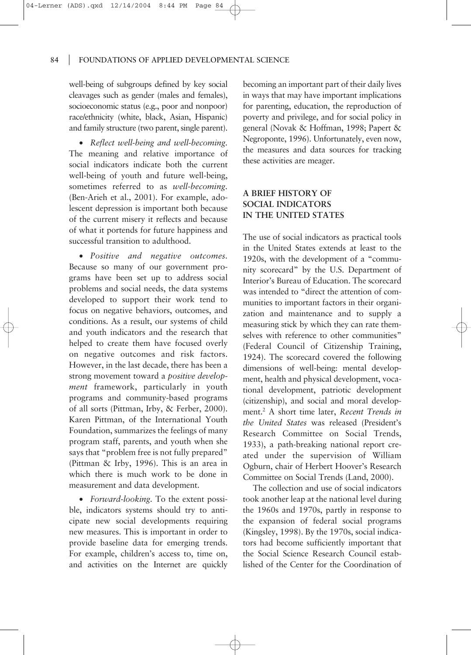well-being of subgroups defined by key social cleavages such as gender (males and females), socioeconomic status (e.g., poor and nonpoor) race/ethnicity (white, black, Asian, Hispanic) and family structure (two parent, single parent).

• *Reflect well-being and well-becoming.* The meaning and relative importance of social indicators indicate both the current well-being of youth and future well-being, sometimes referred to as *well-becoming.* (Ben-Arieh et al., 2001). For example, adolescent depression is important both because of the current misery it reflects and because of what it portends for future happiness and successful transition to adulthood.

• *Positive and negative outcomes.* Because so many of our government programs have been set up to address social problems and social needs, the data systems developed to support their work tend to focus on negative behaviors, outcomes, and conditions. As a result, our systems of child and youth indicators and the research that helped to create them have focused overly on negative outcomes and risk factors. However, in the last decade, there has been a strong movement toward a *positive development* framework, particularly in youth programs and community-based programs of all sorts (Pittman, Irby, & Ferber, 2000). Karen Pittman, of the International Youth Foundation, summarizes the feelings of many program staff, parents, and youth when she says that "problem free is not fully prepared" (Pittman & Irby, 1996). This is an area in which there is much work to be done in measurement and data development.

• *Forward-looking.* To the extent possible, indicators systems should try to anticipate new social developments requiring new measures. This is important in order to provide baseline data for emerging trends. For example, children's access to, time on, and activities on the Internet are quickly becoming an important part of their daily lives in ways that may have important implications for parenting, education, the reproduction of poverty and privilege, and for social policy in general (Novak & Hoffman, 1998; Papert & Negroponte, 1996). Unfortunately, even now, the measures and data sources for tracking these activities are meager.

# **A BRIEF HISTORY OF SOCIAL INDICATORS IN THE UNITED STATES**

The use of social indicators as practical tools in the United States extends at least to the 1920s, with the development of a "community scorecard" by the U.S. Department of Interior's Bureau of Education. The scorecard was intended to "direct the attention of communities to important factors in their organization and maintenance and to supply a measuring stick by which they can rate themselves with reference to other communities" (Federal Council of Citizenship Training, 1924). The scorecard covered the following dimensions of well-being: mental development, health and physical development, vocational development, patriotic development (citizenship), and social and moral development.2 A short time later, *Recent Trends in the United States* was released (President's Research Committee on Social Trends, 1933), a path-breaking national report created under the supervision of William Ogburn, chair of Herbert Hoover's Research Committee on Social Trends (Land, 2000).

The collection and use of social indicators took another leap at the national level during the 1960s and 1970s, partly in response to the expansion of federal social programs (Kingsley, 1998). By the 1970s, social indicators had become sufficiently important that the Social Science Research Council established of the Center for the Coordination of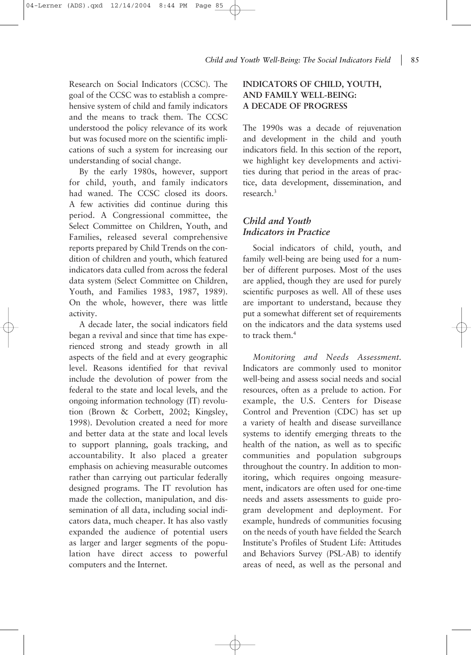Research on Social Indicators (CCSC). The goal of the CCSC was to establish a comprehensive system of child and family indicators and the means to track them. The CCSC understood the policy relevance of its work but was focused more on the scientific implications of such a system for increasing our understanding of social change.

By the early 1980s, however, support for child, youth, and family indicators had waned. The CCSC closed its doors. A few activities did continue during this period. A Congressional committee, the Select Committee on Children, Youth, and Families, released several comprehensive reports prepared by Child Trends on the condition of children and youth, which featured indicators data culled from across the federal data system (Select Committee on Children, Youth, and Families 1983, 1987, 1989). On the whole, however, there was little activity.

A decade later, the social indicators field began a revival and since that time has experienced strong and steady growth in all aspects of the field and at every geographic level. Reasons identified for that revival include the devolution of power from the federal to the state and local levels, and the ongoing information technology (IT) revolution (Brown & Corbett, 2002; Kingsley, 1998). Devolution created a need for more and better data at the state and local levels to support planning, goals tracking, and accountability. It also placed a greater emphasis on achieving measurable outcomes rather than carrying out particular federally designed programs. The IT revolution has made the collection, manipulation, and dissemination of all data, including social indicators data, much cheaper. It has also vastly expanded the audience of potential users as larger and larger segments of the population have direct access to powerful computers and the Internet.

# **INDICATORS OF CHILD, YOUTH, AND FAMILY WELL-BEING: A DECADE OF PROGRESS**

The 1990s was a decade of rejuvenation and development in the child and youth indicators field. In this section of the report, we highlight key developments and activities during that period in the areas of practice, data development, dissemination, and research.3

# *Child and Youth Indicators in Practice*

Social indicators of child, youth, and family well-being are being used for a number of different purposes. Most of the uses are applied, though they are used for purely scientific purposes as well. All of these uses are important to understand, because they put a somewhat different set of requirements on the indicators and the data systems used to track them.<sup>4</sup>

*Monitoring and Needs Assessment.* Indicators are commonly used to monitor well-being and assess social needs and social resources, often as a prelude to action. For example, the U.S. Centers for Disease Control and Prevention (CDC) has set up a variety of health and disease surveillance systems to identify emerging threats to the health of the nation, as well as to specific communities and population subgroups throughout the country. In addition to monitoring, which requires ongoing measurement, indicators are often used for one-time needs and assets assessments to guide program development and deployment. For example, hundreds of communities focusing on the needs of youth have fielded the Search Institute's Profiles of Student Life: Attitudes and Behaviors Survey (PSL-AB) to identify areas of need, as well as the personal and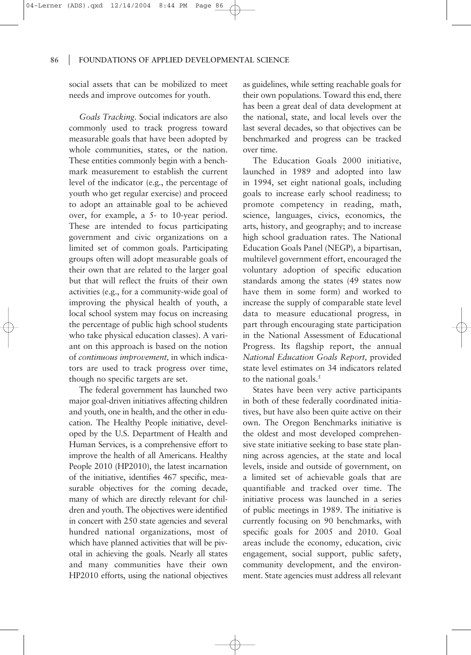social assets that can be mobilized to meet needs and improve outcomes for youth.

*Goals Tracking.* Social indicators are also commonly used to track progress toward measurable goals that have been adopted by whole communities, states, or the nation. These entities commonly begin with a benchmark measurement to establish the current level of the indicator (e.g., the percentage of youth who get regular exercise) and proceed to adopt an attainable goal to be achieved over, for example, a 5- to 10-year period. These are intended to focus participating government and civic organizations on a limited set of common goals. Participating groups often will adopt measurable goals of their own that are related to the larger goal but that will reflect the fruits of their own activities (e.g., for a community-wide goal of improving the physical health of youth, a local school system may focus on increasing the percentage of public high school students who take physical education classes). A variant on this approach is based on the notion of *continuous improvement,* in which indicators are used to track progress over time, though no specific targets are set.

The federal government has launched two major goal-driven initiatives affecting children and youth, one in health, and the other in education. The Healthy People initiative, developed by the U.S. Department of Health and Human Services, is a comprehensive effort to improve the health of all Americans. Healthy People 2010 (HP2010), the latest incarnation of the initiative, identifies 467 specific, measurable objectives for the coming decade, many of which are directly relevant for children and youth. The objectives were identified in concert with 250 state agencies and several hundred national organizations, most of which have planned activities that will be pivotal in achieving the goals. Nearly all states and many communities have their own HP2010 efforts, using the national objectives

as guidelines, while setting reachable goals for their own populations. Toward this end, there has been a great deal of data development at the national, state, and local levels over the last several decades, so that objectives can be benchmarked and progress can be tracked over time.

The Education Goals 2000 initiative, launched in 1989 and adopted into law in 1994, set eight national goals, including goals to increase early school readiness; to promote competency in reading, math, science, languages, civics, economics, the arts, history, and geography; and to increase high school graduation rates. The National Education Goals Panel (NEGP), a bipartisan, multilevel government effort, encouraged the voluntary adoption of specific education standards among the states (49 states now have them in some form) and worked to increase the supply of comparable state level data to measure educational progress, in part through encouraging state participation in the National Assessment of Educational Progress. Its flagship report, the annual *National Education Goals Report,* provided state level estimates on 34 indicators related to the national goals. $5$ 

States have been very active participants in both of these federally coordinated initiatives, but have also been quite active on their own. The Oregon Benchmarks initiative is the oldest and most developed comprehensive state initiative seeking to base state planning across agencies, at the state and local levels, inside and outside of government, on a limited set of achievable goals that are quantifiable and tracked over time. The initiative process was launched in a series of public meetings in 1989. The initiative is currently focusing on 90 benchmarks, with specific goals for 2005 and 2010. Goal areas include the economy, education, civic engagement, social support, public safety, community development, and the environment. State agencies must address all relevant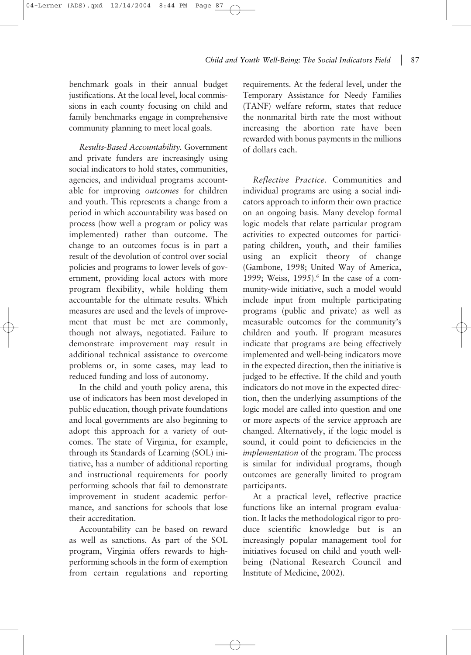benchmark goals in their annual budget justifications. At the local level, local commissions in each county focusing on child and family benchmarks engage in comprehensive community planning to meet local goals.

*Results-Based Accountability.* Government and private funders are increasingly using social indicators to hold states, communities, agencies, and individual programs accountable for improving *outcomes* for children and youth. This represents a change from a period in which accountability was based on process (how well a program or policy was implemented) rather than outcome. The change to an outcomes focus is in part a result of the devolution of control over social policies and programs to lower levels of government, providing local actors with more program flexibility, while holding them accountable for the ultimate results. Which measures are used and the levels of improvement that must be met are commonly, though not always, negotiated. Failure to demonstrate improvement may result in additional technical assistance to overcome problems or, in some cases, may lead to reduced funding and loss of autonomy.

In the child and youth policy arena, this use of indicators has been most developed in public education, though private foundations and local governments are also beginning to adopt this approach for a variety of outcomes. The state of Virginia, for example, through its Standards of Learning (SOL) initiative, has a number of additional reporting and instructional requirements for poorly performing schools that fail to demonstrate improvement in student academic performance, and sanctions for schools that lose their accreditation.

Accountability can be based on reward as well as sanctions. As part of the SOL program, Virginia offers rewards to highperforming schools in the form of exemption from certain regulations and reporting

requirements. At the federal level, under the Temporary Assistance for Needy Families (TANF) welfare reform, states that reduce the nonmarital birth rate the most without increasing the abortion rate have been rewarded with bonus payments in the millions of dollars each.

*Reflective Practice.* Communities and individual programs are using a social indicators approach to inform their own practice on an ongoing basis. Many develop formal logic models that relate particular program activities to expected outcomes for participating children, youth, and their families using an explicit theory of change (Gambone, 1998; United Way of America, 1999; Weiss, 1995).<sup>6</sup> In the case of a community-wide initiative, such a model would include input from multiple participating programs (public and private) as well as measurable outcomes for the community's children and youth. If program measures indicate that programs are being effectively implemented and well-being indicators move in the expected direction, then the initiative is judged to be effective. If the child and youth indicators do not move in the expected direction, then the underlying assumptions of the logic model are called into question and one or more aspects of the service approach are changed. Alternatively, if the logic model is sound, it could point to deficiencies in the *implementation* of the program. The process is similar for individual programs, though outcomes are generally limited to program participants.

At a practical level, reflective practice functions like an internal program evaluation. It lacks the methodological rigor to produce scientific knowledge but is an increasingly popular management tool for initiatives focused on child and youth wellbeing (National Research Council and Institute of Medicine, 2002).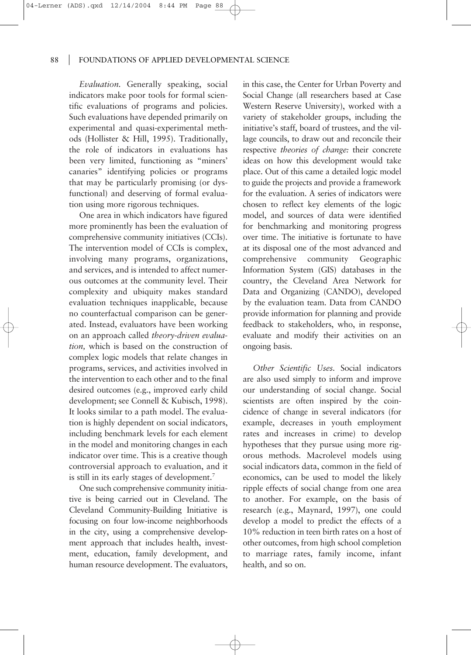*Evaluation.* Generally speaking, social indicators make poor tools for formal scientific evaluations of programs and policies. Such evaluations have depended primarily on experimental and quasi-experimental methods (Hollister & Hill, 1995). Traditionally, the role of indicators in evaluations has been very limited, functioning as "miners' canaries" identifying policies or programs that may be particularly promising (or dysfunctional) and deserving of formal evaluation using more rigorous techniques.

One area in which indicators have figured more prominently has been the evaluation of comprehensive community initiatives (CCIs). The intervention model of CCIs is complex, involving many programs, organizations, and services, and is intended to affect numerous outcomes at the community level. Their complexity and ubiquity makes standard evaluation techniques inapplicable, because no counterfactual comparison can be generated. Instead, evaluators have been working on an approach called *theory-driven evaluation,* which is based on the construction of complex logic models that relate changes in programs, services, and activities involved in the intervention to each other and to the final desired outcomes (e.g., improved early child development; see Connell & Kubisch, 1998). It looks similar to a path model. The evaluation is highly dependent on social indicators, including benchmark levels for each element in the model and monitoring changes in each indicator over time. This is a creative though controversial approach to evaluation, and it is still in its early stages of development.7

One such comprehensive community initiative is being carried out in Cleveland. The Cleveland Community-Building Initiative is focusing on four low-income neighborhoods in the city, using a comprehensive development approach that includes health, investment, education, family development, and human resource development. The evaluators, in this case, the Center for Urban Poverty and Social Change (all researchers based at Case Western Reserve University), worked with a variety of stakeholder groups, including the initiative's staff, board of trustees, and the village councils, to draw out and reconcile their respective *theories of change:* their concrete ideas on how this development would take place. Out of this came a detailed logic model to guide the projects and provide a framework for the evaluation. A series of indicators were chosen to reflect key elements of the logic model, and sources of data were identified for benchmarking and monitoring progress over time. The initiative is fortunate to have at its disposal one of the most advanced and comprehensive community Geographic Information System (GIS) databases in the country, the Cleveland Area Network for Data and Organizing (CANDO), developed by the evaluation team. Data from CANDO provide information for planning and provide feedback to stakeholders, who, in response, evaluate and modify their activities on an ongoing basis.

*Other Scientific Uses.* Social indicators are also used simply to inform and improve our understanding of social change. Social scientists are often inspired by the coincidence of change in several indicators (for example, decreases in youth employment rates and increases in crime) to develop hypotheses that they pursue using more rigorous methods. Macrolevel models using social indicators data, common in the field of economics, can be used to model the likely ripple effects of social change from one area to another. For example, on the basis of research (e.g., Maynard, 1997), one could develop a model to predict the effects of a 10% reduction in teen birth rates on a host of other outcomes, from high school completion to marriage rates, family income, infant health, and so on.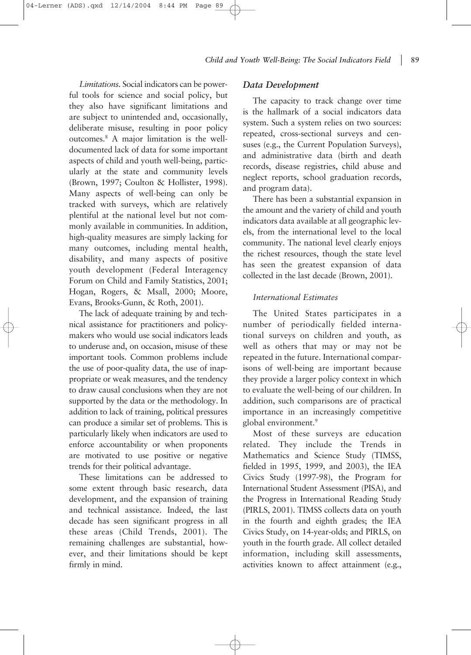*Limitations.* Social indicators can be powerful tools for science and social policy, but they also have significant limitations and are subject to unintended and, occasionally, deliberate misuse, resulting in poor policy outcomes.8 A major limitation is the welldocumented lack of data for some important aspects of child and youth well-being, particularly at the state and community levels (Brown, 1997; Coulton & Hollister, 1998). Many aspects of well-being can only be tracked with surveys, which are relatively plentiful at the national level but not commonly available in communities. In addition, high-quality measures are simply lacking for many outcomes, including mental health, disability, and many aspects of positive youth development (Federal Interagency Forum on Child and Family Statistics, 2001; Hogan, Rogers, & Msall, 2000; Moore, Evans, Brooks-Gunn, & Roth, 2001).

The lack of adequate training by and technical assistance for practitioners and policymakers who would use social indicators leads to underuse and, on occasion, misuse of these important tools. Common problems include the use of poor-quality data, the use of inappropriate or weak measures, and the tendency to draw causal conclusions when they are not supported by the data or the methodology. In addition to lack of training, political pressures can produce a similar set of problems. This is particularly likely when indicators are used to enforce accountability or when proponents are motivated to use positive or negative trends for their political advantage.

These limitations can be addressed to some extent through basic research, data development, and the expansion of training and technical assistance. Indeed, the last decade has seen significant progress in all these areas (Child Trends, 2001). The remaining challenges are substantial, however, and their limitations should be kept firmly in mind.

#### *Data Development*

The capacity to track change over time is the hallmark of a social indicators data system. Such a system relies on two sources: repeated, cross-sectional surveys and censuses (e.g., the Current Population Surveys), and administrative data (birth and death records, disease registries, child abuse and neglect reports, school graduation records, and program data).

There has been a substantial expansion in the amount and the variety of child and youth indicators data available at all geographic levels, from the international level to the local community. The national level clearly enjoys the richest resources, though the state level has seen the greatest expansion of data collected in the last decade (Brown, 2001).

#### *International Estimates*

The United States participates in a number of periodically fielded international surveys on children and youth, as well as others that may or may not be repeated in the future. International comparisons of well-being are important because they provide a larger policy context in which to evaluate the well-being of our children. In addition, such comparisons are of practical importance in an increasingly competitive global environment.9

Most of these surveys are education related. They include the Trends in Mathematics and Science Study (TIMSS, fielded in 1995, 1999, and 2003), the IEA Civics Study (1997-98), the Program for International Student Assessment (PISA), and the Progress in International Reading Study (PIRLS, 2001). TIMSS collects data on youth in the fourth and eighth grades; the IEA Civics Study, on 14-year-olds; and PIRLS, on youth in the fourth grade. All collect detailed information, including skill assessments, activities known to affect attainment (e.g.,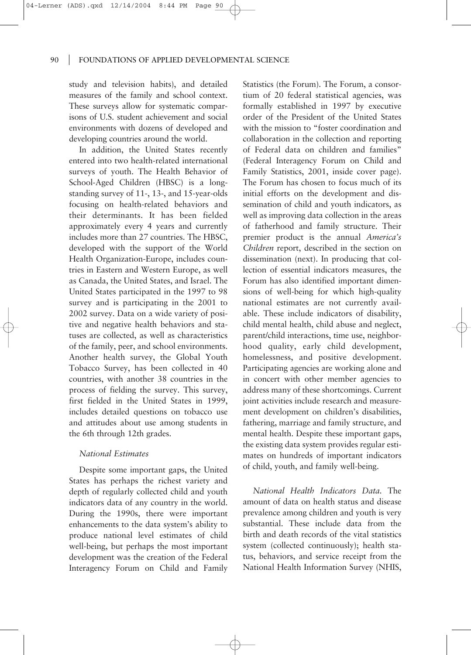study and television habits), and detailed measures of the family and school context. These surveys allow for systematic comparisons of U.S. student achievement and social environments with dozens of developed and developing countries around the world.

In addition, the United States recently entered into two health-related international surveys of youth. The Health Behavior of School-Aged Children (HBSC) is a longstanding survey of 11-, 13-, and 15-year-olds focusing on health-related behaviors and their determinants. It has been fielded approximately every 4 years and currently includes more than 27 countries. The HBSC, developed with the support of the World Health Organization-Europe, includes countries in Eastern and Western Europe, as well as Canada, the United States, and Israel. The United States participated in the 1997 to 98 survey and is participating in the 2001 to 2002 survey. Data on a wide variety of positive and negative health behaviors and statuses are collected, as well as characteristics of the family, peer, and school environments. Another health survey, the Global Youth Tobacco Survey, has been collected in 40 countries, with another 38 countries in the process of fielding the survey. This survey, first fielded in the United States in 1999, includes detailed questions on tobacco use and attitudes about use among students in the 6th through 12th grades.

#### *National Estimates*

Despite some important gaps, the United States has perhaps the richest variety and depth of regularly collected child and youth indicators data of any country in the world. During the 1990s, there were important enhancements to the data system's ability to produce national level estimates of child well-being, but perhaps the most important development was the creation of the Federal Interagency Forum on Child and Family

Statistics (the Forum). The Forum, a consortium of 20 federal statistical agencies, was formally established in 1997 by executive order of the President of the United States with the mission to "foster coordination and collaboration in the collection and reporting of Federal data on children and families" (Federal Interagency Forum on Child and Family Statistics, 2001, inside cover page). The Forum has chosen to focus much of its initial efforts on the development and dissemination of child and youth indicators, as well as improving data collection in the areas of fatherhood and family structure. Their premier product is the annual *America's Children* report, described in the section on dissemination (next). In producing that collection of essential indicators measures, the Forum has also identified important dimensions of well-being for which high-quality national estimates are not currently available. These include indicators of disability, child mental health, child abuse and neglect, parent/child interactions, time use, neighborhood quality, early child development, homelessness, and positive development. Participating agencies are working alone and in concert with other member agencies to address many of these shortcomings. Current joint activities include research and measurement development on children's disabilities, fathering, marriage and family structure, and mental health. Despite these important gaps, the existing data system provides regular estimates on hundreds of important indicators of child, youth, and family well-being.

*National Health Indicators Data.* The amount of data on health status and disease prevalence among children and youth is very substantial. These include data from the birth and death records of the vital statistics system (collected continuously); health status, behaviors, and service receipt from the National Health Information Survey (NHIS,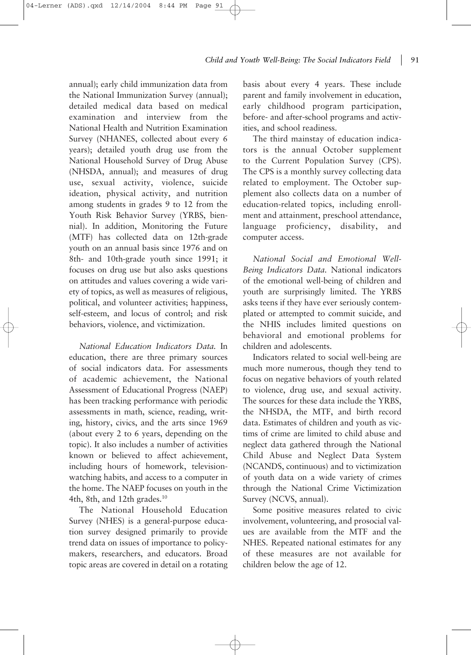annual); early child immunization data from the National Immunization Survey (annual); detailed medical data based on medical examination and interview from the National Health and Nutrition Examination Survey (NHANES, collected about every 6 years); detailed youth drug use from the National Household Survey of Drug Abuse (NHSDA, annual); and measures of drug use, sexual activity, violence, suicide ideation, physical activity, and nutrition among students in grades 9 to 12 from the Youth Risk Behavior Survey (YRBS, biennial). In addition, Monitoring the Future (MTF) has collected data on 12th-grade youth on an annual basis since 1976 and on 8th- and 10th-grade youth since 1991; it focuses on drug use but also asks questions on attitudes and values covering a wide variety of topics, as well as measures of religious, political, and volunteer activities; happiness, self-esteem, and locus of control; and risk behaviors, violence, and victimization.

*National Education Indicators Data.* In education, there are three primary sources of social indicators data. For assessments of academic achievement, the National Assessment of Educational Progress (NAEP) has been tracking performance with periodic assessments in math, science, reading, writing, history, civics, and the arts since 1969 (about every 2 to 6 years, depending on the topic). It also includes a number of activities known or believed to affect achievement, including hours of homework, televisionwatching habits, and access to a computer in the home. The NAEP focuses on youth in the 4th, 8th, and 12th grades.<sup>10</sup>

The National Household Education Survey (NHES) is a general-purpose education survey designed primarily to provide trend data on issues of importance to policymakers, researchers, and educators. Broad topic areas are covered in detail on a rotating basis about every 4 years. These include parent and family involvement in education, early childhood program participation, before- and after-school programs and activities, and school readiness.

The third mainstay of education indicators is the annual October supplement to the Current Population Survey (CPS). The CPS is a monthly survey collecting data related to employment. The October supplement also collects data on a number of education-related topics, including enrollment and attainment, preschool attendance, language proficiency, disability, and computer access.

*National Social and Emotional Well-Being Indicators Data.* National indicators of the emotional well-being of children and youth are surprisingly limited. The YRBS asks teens if they have ever seriously contemplated or attempted to commit suicide, and the NHIS includes limited questions on behavioral and emotional problems for children and adolescents.

Indicators related to social well-being are much more numerous, though they tend to focus on negative behaviors of youth related to violence, drug use, and sexual activity. The sources for these data include the YRBS, the NHSDA, the MTF, and birth record data. Estimates of children and youth as victims of crime are limited to child abuse and neglect data gathered through the National Child Abuse and Neglect Data System (NCANDS, continuous) and to victimization of youth data on a wide variety of crimes through the National Crime Victimization Survey (NCVS, annual).

Some positive measures related to civic involvement, volunteering, and prosocial values are available from the MTF and the NHES. Repeated national estimates for any of these measures are not available for children below the age of 12.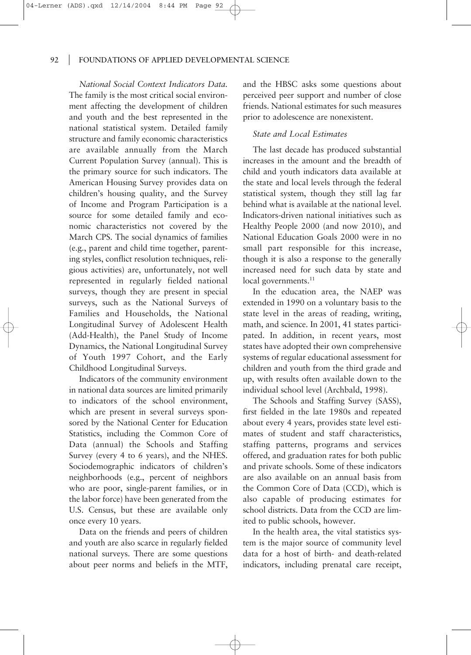*National Social Context Indicators Data.* The family is the most critical social environment affecting the development of children and youth and the best represented in the national statistical system. Detailed family structure and family economic characteristics are available annually from the March Current Population Survey (annual). This is the primary source for such indicators. The American Housing Survey provides data on children's housing quality, and the Survey of Income and Program Participation is a source for some detailed family and economic characteristics not covered by the March CPS. The social dynamics of families (e.g., parent and child time together, parenting styles, conflict resolution techniques, religious activities) are, unfortunately, not well represented in regularly fielded national surveys, though they are present in special surveys, such as the National Surveys of Families and Households, the National Longitudinal Survey of Adolescent Health (Add-Health), the Panel Study of Income Dynamics, the National Longitudinal Survey of Youth 1997 Cohort, and the Early Childhood Longitudinal Surveys.

Indicators of the community environment in national data sources are limited primarily to indicators of the school environment, which are present in several surveys sponsored by the National Center for Education Statistics, including the Common Core of Data (annual) the Schools and Staffing Survey (every 4 to 6 years), and the NHES. Sociodemographic indicators of children's neighborhoods (e.g., percent of neighbors who are poor, single-parent families, or in the labor force) have been generated from the U.S. Census, but these are available only once every 10 years.

Data on the friends and peers of children and youth are also scarce in regularly fielded national surveys. There are some questions about peer norms and beliefs in the MTF, and the HBSC asks some questions about perceived peer support and number of close friends. National estimates for such measures prior to adolescence are nonexistent.

#### *State and Local Estimates*

The last decade has produced substantial increases in the amount and the breadth of child and youth indicators data available at the state and local levels through the federal statistical system, though they still lag far behind what is available at the national level. Indicators-driven national initiatives such as Healthy People 2000 (and now 2010), and National Education Goals 2000 were in no small part responsible for this increase, though it is also a response to the generally increased need for such data by state and local governments.<sup>11</sup>

In the education area, the NAEP was extended in 1990 on a voluntary basis to the state level in the areas of reading, writing, math, and science. In 2001, 41 states participated. In addition, in recent years, most states have adopted their own comprehensive systems of regular educational assessment for children and youth from the third grade and up, with results often available down to the individual school level (Archbald, 1998).

The Schools and Staffing Survey (SASS), first fielded in the late 1980s and repeated about every 4 years, provides state level estimates of student and staff characteristics, staffing patterns, programs and services offered, and graduation rates for both public and private schools. Some of these indicators are also available on an annual basis from the Common Core of Data (CCD), which is also capable of producing estimates for school districts. Data from the CCD are limited to public schools, however.

In the health area, the vital statistics system is the major source of community level data for a host of birth- and death-related indicators, including prenatal care receipt,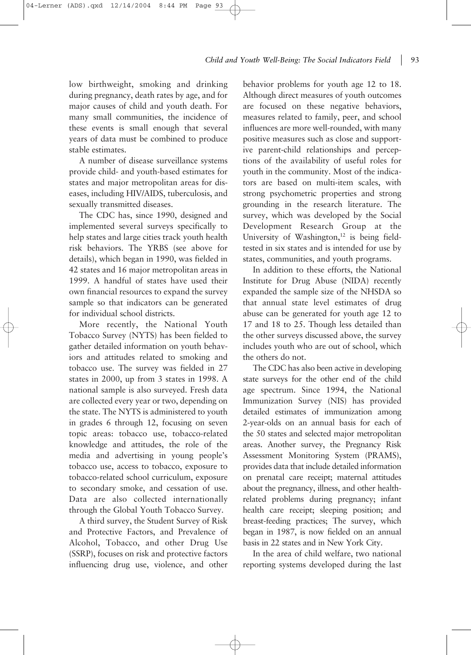#### *Child and Youth Well-Being: The Social Indicators Field* 93

04-Lerner (ADS).qxd 12/14/2004

low birthweight, smoking and drinking during pregnancy, death rates by age, and for major causes of child and youth death. For many small communities, the incidence of these events is small enough that several years of data must be combined to produce stable estimates.

A number of disease surveillance systems provide child- and youth-based estimates for states and major metropolitan areas for diseases, including HIV/AIDS, tuberculosis, and sexually transmitted diseases.

The CDC has, since 1990, designed and implemented several surveys specifically to help states and large cities track youth health risk behaviors. The YRBS (see above for details), which began in 1990, was fielded in 42 states and 16 major metropolitan areas in 1999. A handful of states have used their own financial resources to expand the survey sample so that indicators can be generated for individual school districts.

More recently, the National Youth Tobacco Survey (NYTS) has been fielded to gather detailed information on youth behaviors and attitudes related to smoking and tobacco use. The survey was fielded in 27 states in 2000, up from 3 states in 1998. A national sample is also surveyed. Fresh data are collected every year or two, depending on the state. The NYTS is administered to youth in grades 6 through 12, focusing on seven topic areas: tobacco use, tobacco-related knowledge and attitudes, the role of the media and advertising in young people's tobacco use, access to tobacco, exposure to tobacco-related school curriculum, exposure to secondary smoke, and cessation of use. Data are also collected internationally through the Global Youth Tobacco Survey.

A third survey, the Student Survey of Risk and Protective Factors, and Prevalence of Alcohol, Tobacco, and other Drug Use (SSRP), focuses on risk and protective factors influencing drug use, violence, and other behavior problems for youth age 12 to 18. Although direct measures of youth outcomes are focused on these negative behaviors, measures related to family, peer, and school influences are more well-rounded, with many positive measures such as close and supportive parent-child relationships and perceptions of the availability of useful roles for youth in the community. Most of the indicators are based on multi-item scales, with strong psychometric properties and strong grounding in the research literature. The survey, which was developed by the Social Development Research Group at the University of Washington, $12$  is being fieldtested in six states and is intended for use by states, communities, and youth programs.

In addition to these efforts, the National Institute for Drug Abuse (NIDA) recently expanded the sample size of the NHSDA so that annual state level estimates of drug abuse can be generated for youth age 12 to 17 and 18 to 25. Though less detailed than the other surveys discussed above, the survey includes youth who are out of school, which the others do not.

The CDC has also been active in developing state surveys for the other end of the child age spectrum. Since 1994, the National Immunization Survey (NIS) has provided detailed estimates of immunization among 2-year-olds on an annual basis for each of the 50 states and selected major metropolitan areas. Another survey, the Pregnancy Risk Assessment Monitoring System (PRAMS), provides data that include detailed information on prenatal care receipt; maternal attitudes about the pregnancy, illness, and other healthrelated problems during pregnancy; infant health care receipt; sleeping position; and breast-feeding practices; The survey, which began in 1987, is now fielded on an annual basis in 22 states and in New York City.

In the area of child welfare, two national reporting systems developed during the last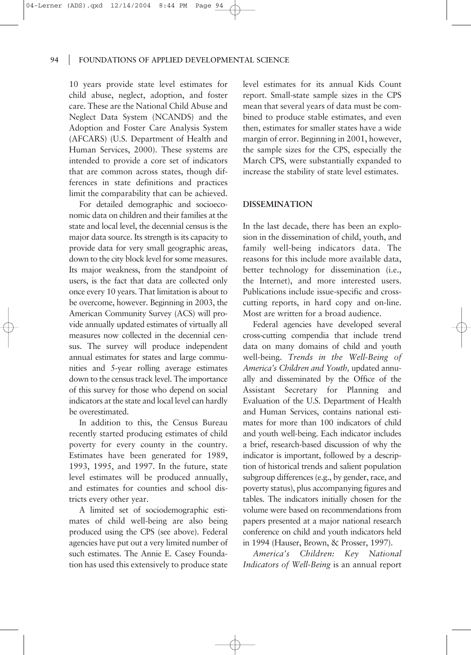10 years provide state level estimates for child abuse, neglect, adoption, and foster care. These are the National Child Abuse and Neglect Data System (NCANDS) and the Adoption and Foster Care Analysis System (AFCARS) (U.S. Department of Health and Human Services, 2000). These systems are intended to provide a core set of indicators that are common across states, though differences in state definitions and practices limit the comparability that can be achieved.

For detailed demographic and socioeconomic data on children and their families at the state and local level, the decennial census is the major data source. Its strength is its capacity to provide data for very small geographic areas, down to the city block level for some measures. Its major weakness, from the standpoint of users, is the fact that data are collected only once every 10 years. That limitation is about to be overcome, however. Beginning in 2003, the American Community Survey (ACS) will provide annually updated estimates of virtually all measures now collected in the decennial census. The survey will produce independent annual estimates for states and large communities and 5-year rolling average estimates down to the census track level. The importance of this survey for those who depend on social indicators at the state and local level can hardly be overestimated.

In addition to this, the Census Bureau recently started producing estimates of child poverty for every county in the country. Estimates have been generated for 1989, 1993, 1995, and 1997. In the future, state level estimates will be produced annually, and estimates for counties and school districts every other year.

A limited set of sociodemographic estimates of child well-being are also being produced using the CPS (see above). Federal agencies have put out a very limited number of such estimates. The Annie E. Casey Foundation has used this extensively to produce state

level estimates for its annual Kids Count report. Small-state sample sizes in the CPS mean that several years of data must be combined to produce stable estimates, and even then, estimates for smaller states have a wide margin of error. Beginning in 2001, however, the sample sizes for the CPS, especially the March CPS, were substantially expanded to increase the stability of state level estimates.

### **DISSEMINATION**

In the last decade, there has been an explosion in the dissemination of child, youth, and family well-being indicators data. The reasons for this include more available data, better technology for dissemination (i.e., the Internet), and more interested users. Publications include issue-specific and crosscutting reports, in hard copy and on-line. Most are written for a broad audience.

Federal agencies have developed several cross-cutting compendia that include trend data on many domains of child and youth well-being. *Trends in the Well-Being of America's Children and Youth,* updated annually and disseminated by the Office of the Assistant Secretary for Planning and Evaluation of the U.S. Department of Health and Human Services, contains national estimates for more than 100 indicators of child and youth well-being. Each indicator includes a brief, research-based discussion of why the indicator is important, followed by a description of historical trends and salient population subgroup differences (e.g., by gender, race, and poverty status), plus accompanying figures and tables. The indicators initially chosen for the volume were based on recommendations from papers presented at a major national research conference on child and youth indicators held in 1994 (Hauser, Brown, & Prosser, 1997).

*America's Children: Key National Indicators of Well-Being* is an annual report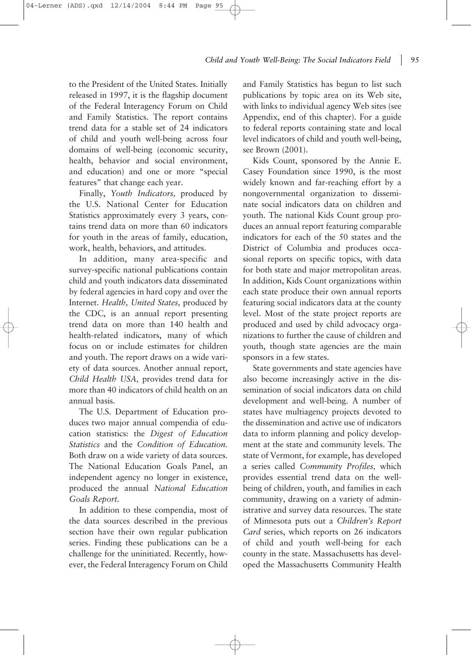to the President of the United States. Initially released in 1997, it is the flagship document of the Federal Interagency Forum on Child and Family Statistics. The report contains trend data for a stable set of 24 indicators of child and youth well-being across four domains of well-being (economic security, health, behavior and social environment, and education) and one or more "special features" that change each year.

04-Lerner (ADS).qxd 12/14/2004

Finally, *Youth Indicators,* produced by the U.S. National Center for Education Statistics approximately every 3 years, contains trend data on more than 60 indicators for youth in the areas of family, education, work, health, behaviors, and attitudes.

In addition, many area-specific and survey-specific national publications contain child and youth indicators data disseminated by federal agencies in hard copy and over the Internet. *Health, United States,* produced by the CDC, is an annual report presenting trend data on more than 140 health and health-related indicators, many of which focus on or include estimates for children and youth. The report draws on a wide variety of data sources. Another annual report, *Child Health USA,* provides trend data for more than 40 indicators of child health on an annual basis.

The U.S. Department of Education produces two major annual compendia of education statistics: the *Digest of Education Statistics* and the *Condition of Education.* Both draw on a wide variety of data sources. The National Education Goals Panel, an independent agency no longer in existence, produced the annual *National Education Goals Report.*

In addition to these compendia, most of the data sources described in the previous section have their own regular publication series. Finding these publications can be a challenge for the uninitiated. Recently, however, the Federal Interagency Forum on Child and Family Statistics has begun to list such publications by topic area on its Web site, with links to individual agency Web sites (see Appendix, end of this chapter). For a guide to federal reports containing state and local level indicators of child and youth well-being, see Brown (2001).

Kids Count, sponsored by the Annie E. Casey Foundation since 1990, is the most widely known and far-reaching effort by a nongovernmental organization to disseminate social indicators data on children and youth. The national Kids Count group produces an annual report featuring comparable indicators for each of the 50 states and the District of Columbia and produces occasional reports on specific topics, with data for both state and major metropolitan areas. In addition, Kids Count organizations within each state produce their own annual reports featuring social indicators data at the county level. Most of the state project reports are produced and used by child advocacy organizations to further the cause of children and youth, though state agencies are the main sponsors in a few states.

State governments and state agencies have also become increasingly active in the dissemination of social indicators data on child development and well-being. A number of states have multiagency projects devoted to the dissemination and active use of indicators data to inform planning and policy development at the state and community levels. The state of Vermont, for example, has developed a series called *Community Profiles,* which provides essential trend data on the wellbeing of children, youth, and families in each community, drawing on a variety of administrative and survey data resources. The state of Minnesota puts out a *Children's Report Card* series, which reports on 26 indicators of child and youth well-being for each county in the state. Massachusetts has developed the Massachusetts Community Health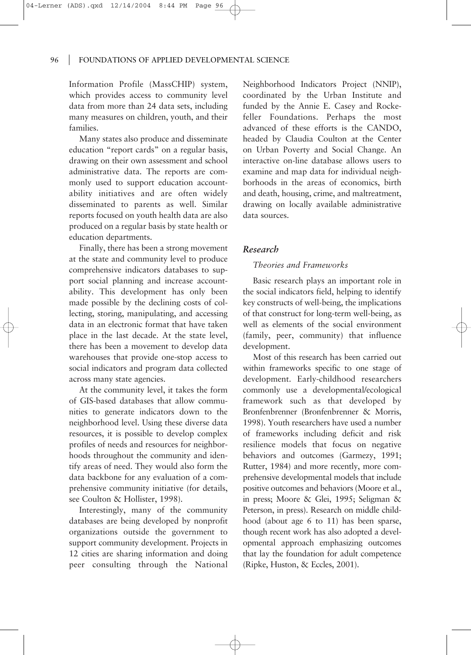Information Profile (MassCHIP) system, which provides access to community level data from more than 24 data sets, including many measures on children, youth, and their families.

Many states also produce and disseminate education "report cards" on a regular basis, drawing on their own assessment and school administrative data. The reports are commonly used to support education accountability initiatives and are often widely disseminated to parents as well. Similar reports focused on youth health data are also produced on a regular basis by state health or education departments.

Finally, there has been a strong movement at the state and community level to produce comprehensive indicators databases to support social planning and increase accountability. This development has only been made possible by the declining costs of collecting, storing, manipulating, and accessing data in an electronic format that have taken place in the last decade. At the state level, there has been a movement to develop data warehouses that provide one-stop access to social indicators and program data collected across many state agencies.

At the community level, it takes the form of GIS-based databases that allow communities to generate indicators down to the neighborhood level. Using these diverse data resources, it is possible to develop complex profiles of needs and resources for neighborhoods throughout the community and identify areas of need. They would also form the data backbone for any evaluation of a comprehensive community initiative (for details, see Coulton & Hollister, 1998).

Interestingly, many of the community databases are being developed by nonprofit organizations outside the government to support community development. Projects in 12 cities are sharing information and doing peer consulting through the National Neighborhood Indicators Project (NNIP), coordinated by the Urban Institute and funded by the Annie E. Casey and Rockefeller Foundations. Perhaps the most advanced of these efforts is the CANDO, headed by Claudia Coulton at the Center on Urban Poverty and Social Change. An interactive on-line database allows users to examine and map data for individual neighborhoods in the areas of economics, birth and death, housing, crime, and maltreatment, drawing on locally available administrative data sources.

## *Research*

#### *Theories and Frameworks*

Basic research plays an important role in the social indicators field, helping to identify key constructs of well-being, the implications of that construct for long-term well-being, as well as elements of the social environment (family, peer, community) that influence development.

Most of this research has been carried out within frameworks specific to one stage of development. Early-childhood researchers commonly use a developmental/ecological framework such as that developed by Bronfenbrenner (Bronfenbrenner & Morris, 1998). Youth researchers have used a number of frameworks including deficit and risk resilience models that focus on negative behaviors and outcomes (Garmezy, 1991; Rutter, 1984) and more recently, more comprehensive developmental models that include positive outcomes and behaviors (Moore et al., in press; Moore & Glei, 1995; Seligman & Peterson, in press). Research on middle childhood (about age 6 to 11) has been sparse, though recent work has also adopted a developmental approach emphasizing outcomes that lay the foundation for adult competence (Ripke, Huston, & Eccles, 2001).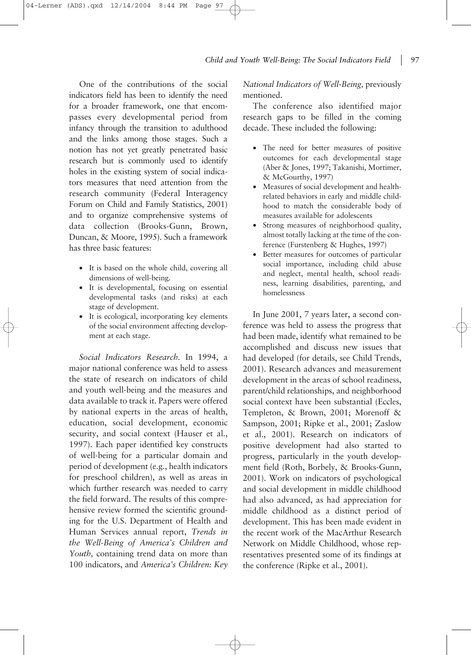One of the contributions of the social indicators field has been to identify the need for a broader framework, one that encompasses every developmental period from infancy through the transition to adulthood and the links among those stages. Such a notion has not yet greatly penetrated basic research but is commonly used to identify holes in the existing system of social indicators measures that need attention from the research community (Federal Interagency Forum on Child and Family Statistics, 2001) and to organize comprehensive systems of data collection (Brooks-Gunn, Brown, Duncan, & Moore, 1995). Such a framework has three basic features:

- It is based on the whole child, covering all dimensions of well-being.
- It is developmental, focusing on essential developmental tasks (and risks) at each stage of development.
- It is ecological, incorporating key elements of the social environment affecting development at each stage.

*Social Indicators Research.* In 1994, a major national conference was held to assess the state of research on indicators of child and youth well-being and the measures and data available to track it. Papers were offered by national experts in the areas of health, education, social development, economic security, and social context (Hauser et al., 1997). Each paper identified key constructs of well-being for a particular domain and period of development (e.g., health indicators for preschool children), as well as areas in which further research was needed to carry the field forward. The results of this comprehensive review formed the scientific grounding for the U.S. Department of Health and Human Services annual report, *Trends in the Well-Being of America's Children and Youth,* containing trend data on more than 100 indicators, and *America's Children: Key*

*National Indicators of Well-Being,* previously mentioned.

The conference also identified major research gaps to be filled in the coming decade. These included the following:

- The need for better measures of positive outcomes for each developmental stage (Aber & Jones, 1997; Takanishi, Mortimer, & McGourthy, 1997)
- Measures of social development and healthrelated behaviors in early and middle childhood to match the considerable body of measures available for adolescents
- Strong measures of neighborhood quality, almost totally lacking at the time of the conference (Furstenberg & Hughes, 1997)
- Better measures for outcomes of particular social importance, including child abuse and neglect, mental health, school readiness, learning disabilities, parenting, and homelessness

In June 2001, 7 years later, a second conference was held to assess the progress that had been made, identify what remained to be accomplished and discuss new issues that had developed (for details, see Child Trends, 2001). Research advances and measurement development in the areas of school readiness, parent/child relationships, and neighborhood social context have been substantial (Eccles, Templeton, & Brown, 2001; Morenoff & Sampson, 2001; Ripke et al., 2001; Zaslow et al., 2001). Research on indicators of positive development had also started to progress, particularly in the youth development field (Roth, Borbely, & Brooks-Gunn, 2001). Work on indicators of psychological and social development in middle childhood had also advanced, as had appreciation for middle childhood as a distinct period of development. This has been made evident in the recent work of the MacArthur Research Network on Middle Childhood, whose representatives presented some of its findings at the conference (Ripke et al., 2001).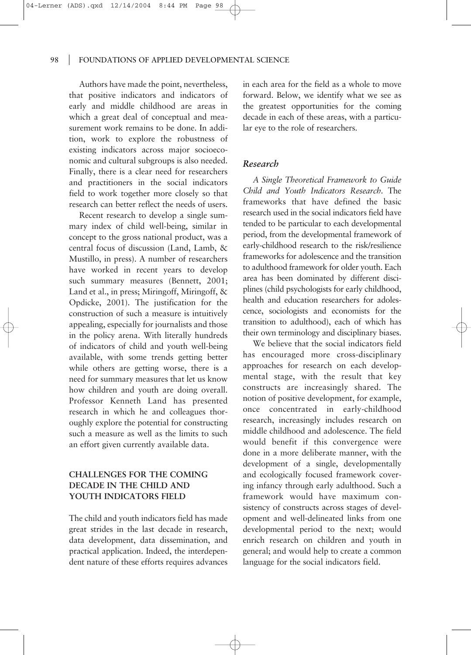Authors have made the point, nevertheless, that positive indicators and indicators of early and middle childhood are areas in which a great deal of conceptual and measurement work remains to be done. In addition, work to explore the robustness of existing indicators across major socioeconomic and cultural subgroups is also needed. Finally, there is a clear need for researchers and practitioners in the social indicators field to work together more closely so that research can better reflect the needs of users.

Recent research to develop a single summary index of child well-being, similar in concept to the gross national product, was a central focus of discussion (Land, Lamb, & Mustillo, in press). A number of researchers have worked in recent years to develop such summary measures (Bennett, 2001; Land et al., in press; Miringoff, Miringoff, & Opdicke, 2001). The justification for the construction of such a measure is intuitively appealing, especially for journalists and those in the policy arena. With literally hundreds of indicators of child and youth well-being available, with some trends getting better while others are getting worse, there is a need for summary measures that let us know how children and youth are doing overall. Professor Kenneth Land has presented research in which he and colleagues thoroughly explore the potential for constructing such a measure as well as the limits to such an effort given currently available data.

# **CHALLENGES FOR THE COMING DECADE IN THE CHILD AND YOUTH INDICATORS FIELD**

The child and youth indicators field has made great strides in the last decade in research, data development, data dissemination, and practical application. Indeed, the interdependent nature of these efforts requires advances in each area for the field as a whole to move forward. Below, we identify what we see as the greatest opportunities for the coming decade in each of these areas, with a particular eye to the role of researchers.

### *Research*

*A Single Theoretical Framework to Guide Child and Youth Indicators Research.* The frameworks that have defined the basic research used in the social indicators field have tended to be particular to each developmental period, from the developmental framework of early-childhood research to the risk/resilience frameworks for adolescence and the transition to adulthood framework for older youth. Each area has been dominated by different disciplines (child psychologists for early childhood, health and education researchers for adolescence, sociologists and economists for the transition to adulthood), each of which has their own terminology and disciplinary biases.

We believe that the social indicators field has encouraged more cross-disciplinary approaches for research on each developmental stage, with the result that key constructs are increasingly shared. The notion of positive development, for example, once concentrated in early-childhood research, increasingly includes research on middle childhood and adolescence. The field would benefit if this convergence were done in a more deliberate manner, with the development of a single, developmentally and ecologically focused framework covering infancy through early adulthood. Such a framework would have maximum consistency of constructs across stages of development and well-delineated links from one developmental period to the next; would enrich research on children and youth in general; and would help to create a common language for the social indicators field.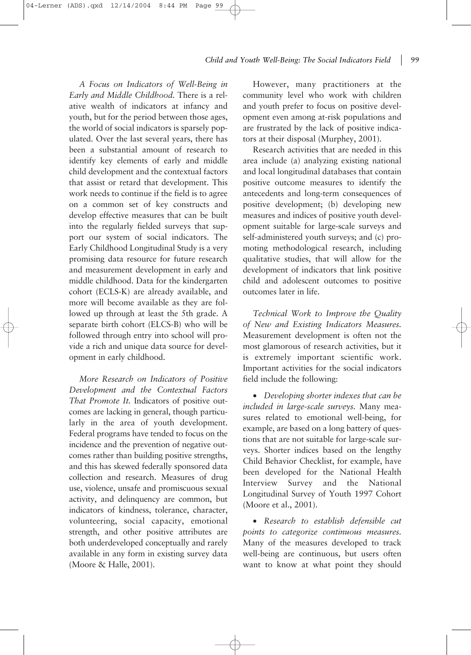#### *Child and Youth Well-Being: The Social Indicators Field* 99

*A Focus on Indicators of Well-Being in Early and Middle Childhood.* There is a relative wealth of indicators at infancy and youth, but for the period between those ages, the world of social indicators is sparsely populated. Over the last several years, there has been a substantial amount of research to identify key elements of early and middle child development and the contextual factors that assist or retard that development. This work needs to continue if the field is to agree on a common set of key constructs and develop effective measures that can be built into the regularly fielded surveys that support our system of social indicators. The Early Childhood Longitudinal Study is a very promising data resource for future research and measurement development in early and middle childhood. Data for the kindergarten cohort (ECLS-K) are already available, and more will become available as they are followed up through at least the 5th grade. A separate birth cohort (ELCS-B) who will be followed through entry into school will provide a rich and unique data source for development in early childhood.

*More Research on Indicators of Positive Development and the Contextual Factors That Promote It.* Indicators of positive outcomes are lacking in general, though particularly in the area of youth development. Federal programs have tended to focus on the incidence and the prevention of negative outcomes rather than building positive strengths, and this has skewed federally sponsored data collection and research. Measures of drug use, violence, unsafe and promiscuous sexual activity, and delinquency are common, but indicators of kindness, tolerance, character, volunteering, social capacity, emotional strength, and other positive attributes are both underdeveloped conceptually and rarely available in any form in existing survey data (Moore & Halle, 2001).

However, many practitioners at the community level who work with children and youth prefer to focus on positive development even among at-risk populations and are frustrated by the lack of positive indicators at their disposal (Murphey, 2001).

Research activities that are needed in this area include (a) analyzing existing national and local longitudinal databases that contain positive outcome measures to identify the antecedents and long-term consequences of positive development; (b) developing new measures and indices of positive youth development suitable for large-scale surveys and self-administered youth surveys; and (c) promoting methodological research, including qualitative studies, that will allow for the development of indicators that link positive child and adolescent outcomes to positive outcomes later in life.

*Technical Work to Improve the Quality of New and Existing Indicators Measures.* Measurement development is often not the most glamorous of research activities, but it is extremely important scientific work. Important activities for the social indicators field include the following:

• *Developing shorter indexes that can be included in large-scale surveys.* Many measures related to emotional well-being, for example, are based on a long battery of questions that are not suitable for large-scale surveys. Shorter indices based on the lengthy Child Behavior Checklist, for example, have been developed for the National Health Interview Survey and the National Longitudinal Survey of Youth 1997 Cohort (Moore et al., 2001).

• *Research to establish defensible cut points to categorize continuous measures.* Many of the measures developed to track well-being are continuous, but users often want to know at what point they should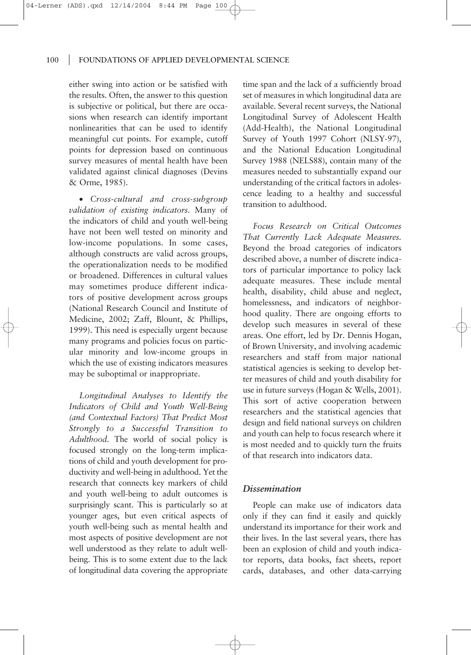either swing into action or be satisfied with the results. Often, the answer to this question is subjective or political, but there are occasions when research can identify important nonlinearities that can be used to identify meaningful cut points. For example, cutoff points for depression based on continuous survey measures of mental health have been validated against clinical diagnoses (Devins & Orme, 1985).

• *Cross-cultural and cross-subgroup validation of existing indicators.* Many of the indicators of child and youth well-being have not been well tested on minority and low-income populations. In some cases, although constructs are valid across groups, the operationalization needs to be modified or broadened. Differences in cultural values may sometimes produce different indicators of positive development across groups (National Research Council and Institute of Medicine, 2002; Zaff, Blount, & Phillips, 1999). This need is especially urgent because many programs and policies focus on particular minority and low-income groups in which the use of existing indicators measures may be suboptimal or inappropriate.

*Longitudinal Analyses to Identify the Indicators of Child and Youth Well-Being (and Contextual Factors) That Predict Most Strongly to a Successful Transition to Adulthood.* The world of social policy is focused strongly on the long-term implications of child and youth development for productivity and well-being in adulthood. Yet the research that connects key markers of child and youth well-being to adult outcomes is surprisingly scant. This is particularly so at younger ages, but even critical aspects of youth well-being such as mental health and most aspects of positive development are not well understood as they relate to adult wellbeing. This is to some extent due to the lack of longitudinal data covering the appropriate

time span and the lack of a sufficiently broad set of measures in which longitudinal data are available. Several recent surveys, the National Longitudinal Survey of Adolescent Health (Add-Health), the National Longitudinal Survey of Youth 1997 Cohort (NLSY-97), and the National Education Longitudinal Survey 1988 (NELS88), contain many of the measures needed to substantially expand our understanding of the critical factors in adolescence leading to a healthy and successful transition to adulthood.

*Focus Research on Critical Outcomes That Currently Lack Adequate Measures.* Beyond the broad categories of indicators described above, a number of discrete indicators of particular importance to policy lack adequate measures. These include mental health, disability, child abuse and neglect, homelessness, and indicators of neighborhood quality. There are ongoing efforts to develop such measures in several of these areas. One effort, led by Dr. Dennis Hogan, of Brown University, and involving academic researchers and staff from major national statistical agencies is seeking to develop better measures of child and youth disability for use in future surveys (Hogan & Wells, 2001). This sort of active cooperation between researchers and the statistical agencies that design and field national surveys on children and youth can help to focus research where it is most needed and to quickly turn the fruits of that research into indicators data.

## *Dissemination*

People can make use of indicators data only if they can find it easily and quickly understand its importance for their work and their lives. In the last several years, there has been an explosion of child and youth indicator reports, data books, fact sheets, report cards, databases, and other data-carrying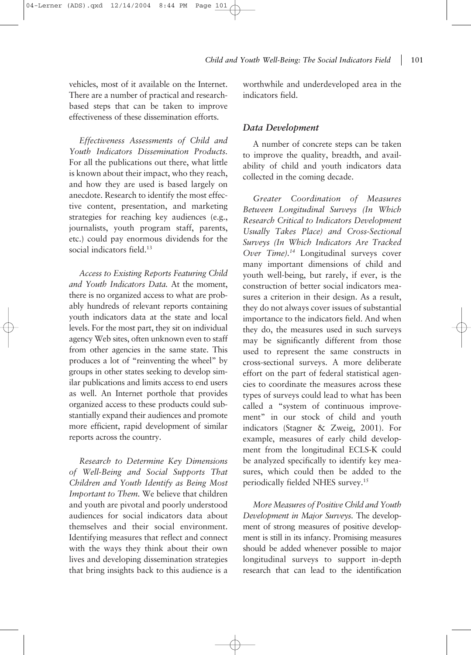vehicles, most of it available on the Internet. There are a number of practical and researchbased steps that can be taken to improve effectiveness of these dissemination efforts.

*Effectiveness Assessments of Child and Youth Indicators Dissemination Products.* For all the publications out there, what little is known about their impact, who they reach, and how they are used is based largely on anecdote. Research to identify the most effective content, presentation, and marketing strategies for reaching key audiences (e.g., journalists, youth program staff, parents, etc.) could pay enormous dividends for the social indicators field.<sup>13</sup>

*Access to Existing Reports Featuring Child and Youth Indicators Data.* At the moment, there is no organized access to what are probably hundreds of relevant reports containing youth indicators data at the state and local levels. For the most part, they sit on individual agency Web sites, often unknown even to staff from other agencies in the same state. This produces a lot of "reinventing the wheel" by groups in other states seeking to develop similar publications and limits access to end users as well. An Internet porthole that provides organized access to these products could substantially expand their audiences and promote more efficient, rapid development of similar reports across the country.

*Research to Determine Key Dimensions of Well-Being and Social Supports That Children and Youth Identify as Being Most Important to Them.* We believe that children and youth are pivotal and poorly understood audiences for social indicators data about themselves and their social environment. Identifying measures that reflect and connect with the ways they think about their own lives and developing dissemination strategies that bring insights back to this audience is a

worthwhile and underdeveloped area in the indicators field.

## *Data Development*

A number of concrete steps can be taken to improve the quality, breadth, and availability of child and youth indicators data collected in the coming decade.

*Greater Coordination of Measures Between Longitudinal Surveys (In Which Research Critical to Indicators Development Usually Takes Place) and Cross-Sectional Surveys (In Which Indicators Are Tracked Over Time).14* Longitudinal surveys cover many important dimensions of child and youth well-being, but rarely, if ever, is the construction of better social indicators measures a criterion in their design. As a result, they do not always cover issues of substantial importance to the indicators field. And when they do, the measures used in such surveys may be significantly different from those used to represent the same constructs in cross-sectional surveys. A more deliberate effort on the part of federal statistical agencies to coordinate the measures across these types of surveys could lead to what has been called a "system of continuous improvement" in our stock of child and youth indicators (Stagner & Zweig, 2001). For example, measures of early child development from the longitudinal ECLS-K could be analyzed specifically to identify key measures, which could then be added to the periodically fielded NHES survey.15

*More Measures of Positive Child and Youth Development in Major Surveys.* The development of strong measures of positive development is still in its infancy. Promising measures should be added whenever possible to major longitudinal surveys to support in-depth research that can lead to the identification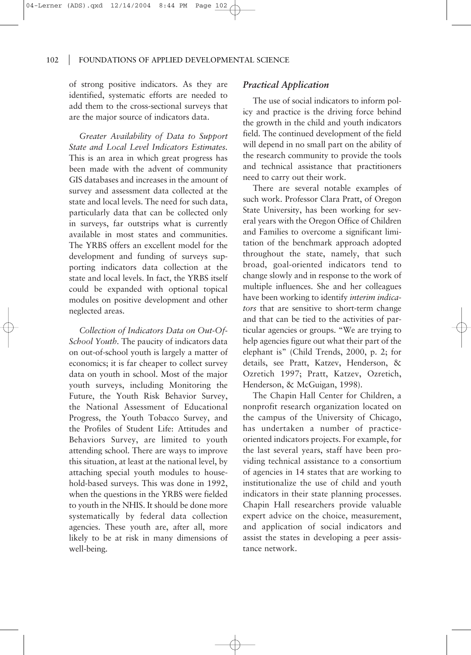of strong positive indicators. As they are identified, systematic efforts are needed to add them to the cross-sectional surveys that are the major source of indicators data.

*Greater Availability of Data to Support State and Local Level Indicators Estimates.* This is an area in which great progress has been made with the advent of community GIS databases and increases in the amount of survey and assessment data collected at the state and local levels. The need for such data, particularly data that can be collected only in surveys, far outstrips what is currently available in most states and communities. The YRBS offers an excellent model for the development and funding of surveys supporting indicators data collection at the state and local levels. In fact, the YRBS itself could be expanded with optional topical modules on positive development and other neglected areas.

*Collection of Indicators Data on Out-Of-School Youth.* The paucity of indicators data on out-of-school youth is largely a matter of economics; it is far cheaper to collect survey data on youth in school. Most of the major youth surveys, including Monitoring the Future, the Youth Risk Behavior Survey, the National Assessment of Educational Progress, the Youth Tobacco Survey, and the Profiles of Student Life: Attitudes and Behaviors Survey, are limited to youth attending school. There are ways to improve this situation, at least at the national level, by attaching special youth modules to household-based surveys. This was done in 1992, when the questions in the YRBS were fielded to youth in the NHIS. It should be done more systematically by federal data collection agencies. These youth are, after all, more likely to be at risk in many dimensions of well-being.

# *Practical Application*

The use of social indicators to inform policy and practice is the driving force behind the growth in the child and youth indicators field. The continued development of the field will depend in no small part on the ability of the research community to provide the tools and technical assistance that practitioners need to carry out their work.

There are several notable examples of such work. Professor Clara Pratt, of Oregon State University, has been working for several years with the Oregon Office of Children and Families to overcome a significant limitation of the benchmark approach adopted throughout the state, namely, that such broad, goal-oriented indicators tend to change slowly and in response to the work of multiple influences. She and her colleagues have been working to identify *interim indicators* that are sensitive to short-term change and that can be tied to the activities of particular agencies or groups. "We are trying to help agencies figure out what their part of the elephant is" (Child Trends, 2000, p. 2; for details, see Pratt, Katzev, Henderson, & Ozretich 1997; Pratt, Katzev, Ozretich, Henderson, & McGuigan, 1998).

The Chapin Hall Center for Children, a nonprofit research organization located on the campus of the University of Chicago, has undertaken a number of practiceoriented indicators projects. For example, for the last several years, staff have been providing technical assistance to a consortium of agencies in 14 states that are working to institutionalize the use of child and youth indicators in their state planning processes. Chapin Hall researchers provide valuable expert advice on the choice, measurement, and application of social indicators and assist the states in developing a peer assistance network.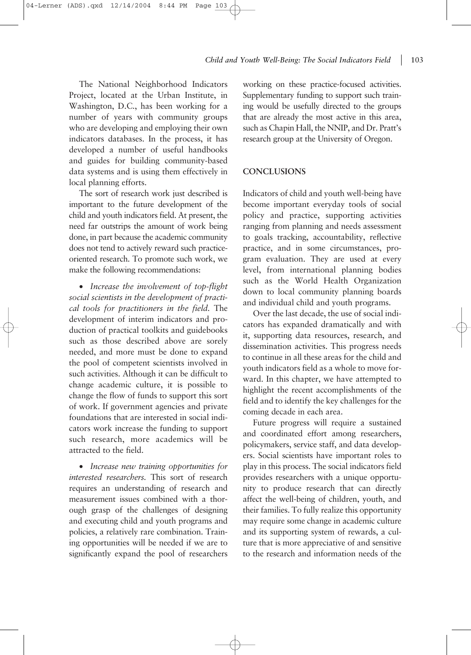The National Neighborhood Indicators Project, located at the Urban Institute, in Washington, D.C., has been working for a number of years with community groups who are developing and employing their own indicators databases. In the process, it has developed a number of useful handbooks and guides for building community-based data systems and is using them effectively in local planning efforts.

The sort of research work just described is important to the future development of the child and youth indicators field. At present, the need far outstrips the amount of work being done, in part because the academic community does not tend to actively reward such practiceoriented research. To promote such work, we make the following recommendations:

• *Increase the involvement of top-flight social scientists in the development of practical tools for practitioners in the field.* The development of interim indicators and production of practical toolkits and guidebooks such as those described above are sorely needed, and more must be done to expand the pool of competent scientists involved in such activities. Although it can be difficult to change academic culture, it is possible to change the flow of funds to support this sort of work. If government agencies and private foundations that are interested in social indicators work increase the funding to support such research, more academics will be attracted to the field.

• *Increase new training opportunities for interested researchers.* This sort of research requires an understanding of research and measurement issues combined with a thorough grasp of the challenges of designing and executing child and youth programs and policies, a relatively rare combination. Training opportunities will be needed if we are to significantly expand the pool of researchers working on these practice-focused activities. Supplementary funding to support such training would be usefully directed to the groups that are already the most active in this area, such as Chapin Hall, the NNIP, and Dr. Pratt's research group at the University of Oregon.

## **CONCLUSIONS**

Indicators of child and youth well-being have become important everyday tools of social policy and practice, supporting activities ranging from planning and needs assessment to goals tracking, accountability, reflective practice, and in some circumstances, program evaluation. They are used at every level, from international planning bodies such as the World Health Organization down to local community planning boards and individual child and youth programs.

Over the last decade, the use of social indicators has expanded dramatically and with it, supporting data resources, research, and dissemination activities. This progress needs to continue in all these areas for the child and youth indicators field as a whole to move forward. In this chapter, we have attempted to highlight the recent accomplishments of the field and to identify the key challenges for the coming decade in each area.

Future progress will require a sustained and coordinated effort among researchers, policymakers, service staff, and data developers. Social scientists have important roles to play in this process. The social indicators field provides researchers with a unique opportunity to produce research that can directly affect the well-being of children, youth, and their families. To fully realize this opportunity may require some change in academic culture and its supporting system of rewards, a culture that is more appreciative of and sensitive to the research and information needs of the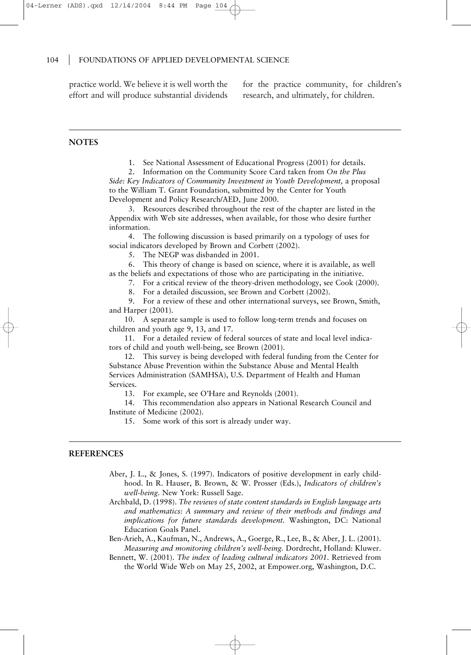practice world. We believe it is well worth the effort and will produce substantial dividends

for the practice community, for children's research, and ultimately, for children.

#### **NOTES**

1. See National Assessment of Educational Progress (2001) for details.

2. Information on the Community Score Card taken from *On the Plus*

*Side: Key Indicators of Community Investment in Youth Development,* a proposal to the William T. Grant Foundation, submitted by the Center for Youth Development and Policy Research/AED, June 2000.

3. Resources described throughout the rest of the chapter are listed in the Appendix with Web site addresses, when available, for those who desire further information.

4. The following discussion is based primarily on a typology of uses for social indicators developed by Brown and Corbett (2002).

5. The NEGP was disbanded in 2001.

6. This theory of change is based on science, where it is available, as well as the beliefs and expectations of those who are participating in the initiative.

7. For a critical review of the theory-driven methodology, see Cook (2000).

8. For a detailed discussion, see Brown and Corbett (2002).

9. For a review of these and other international surveys, see Brown, Smith, and Harper (2001).

10. A separate sample is used to follow long-term trends and focuses on children and youth age 9, 13, and 17.

11. For a detailed review of federal sources of state and local level indicators of child and youth well-being, see Brown (2001).

12. This survey is being developed with federal funding from the Center for Substance Abuse Prevention within the Substance Abuse and Mental Health Services Administration (SAMHSA), U.S. Department of Health and Human Services.

13. For example, see O'Hare and Reynolds (2001).

14. This recommendation also appears in National Research Council and Institute of Medicine (2002).

15. Some work of this sort is already under way.

#### **REFERENCES**

Aber, J. L., & Jones, S. (1997). Indicators of positive development in early childhood. In R. Hauser, B. Brown, & W. Prosser (Eds.), *Indicators of children's well-being.* New York: Russell Sage.

Archbald, D. (1998). *The reviews of state content standards in English language arts and mathematics: A summary and review of their methods and findings and implications for future standards development.* Washington, DC: National Education Goals Panel.

Ben-Arieh, A., Kaufman, N., Andrews, A., Goerge, R., Lee, B., & Aber, J. L. (2001). *Measuring and monitoring children's well-being.* Dordrecht, Holland: Kluwer.

Bennett, W. (2001). *The index of leading cultural indicators 2001.* Retrieved from the World Wide Web on May 25, 2002, at Empower.org, Washington, D.C.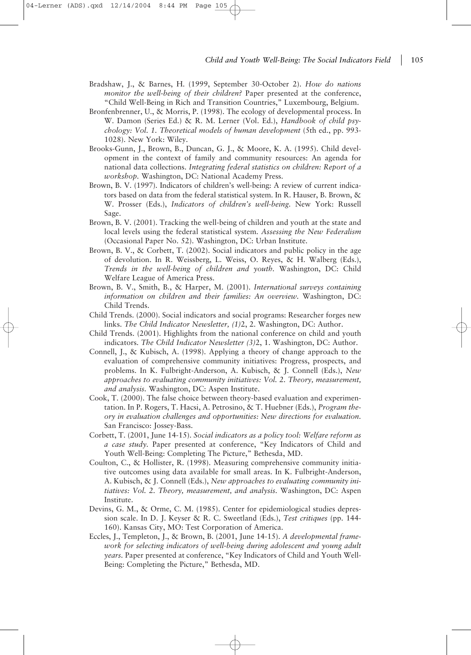#### *Child and Youth Well-Being: The Social Indicators Field* | 105

- Bradshaw, J., & Barnes, H. (1999, September 30-October 2). *How do nations monitor the well-being of their children?* Paper presented at the conference, "Child Well-Being in Rich and Transition Countries," Luxembourg, Belgium.
- Bronfenbrenner, U., & Morris, P. (1998). The ecology of developmental process. In W. Damon (Series Ed.) & R. M. Lerner (Vol. Ed.), *Handbook of child psychology: Vol. 1. Theoretical models of human development* (5th ed., pp. 993- 1028). New York: Wiley.
- Brooks-Gunn, J., Brown, B., Duncan, G. J., & Moore, K. A. (1995). Child development in the context of family and community resources: An agenda for national data collections. *Integrating federal statistics on children: Report of a workshop.* Washington, DC: National Academy Press.
- Brown, B. V. (1997). Indicators of children's well-being: A review of current indicators based on data from the federal statistical system. In R. Hauser, B. Brown, & W. Prosser (Eds.), *Indicators of children's well-being.* New York: Russell Sage.
- Brown, B. V. (2001). Tracking the well-being of children and youth at the state and local levels using the federal statistical system. *Assessing the New Federalism* (Occasional Paper No. 52). Washington, DC: Urban Institute.
- Brown, B. V., & Corbett, T. (2002). Social indicators and public policy in the age of devolution. In R. Weissberg, L. Weiss, O. Reyes, & H. Walberg (Eds.), *Trends in the well-being of children and youth.* Washington, DC: Child Welfare League of America Press.
- Brown, B. V., Smith, B., & Harper, M. (2001). *International surveys containing information on children and their families: An overview.* Washington, DC: Child Trends.
- Child Trends. (2000). Social indicators and social programs: Researcher forges new links. *The Child Indicator Newsletter, (1)*2, 2. Washington, DC: Author.
- Child Trends. (2001). Highlights from the national conference on child and youth indicators. *The Child Indicator Newsletter (3)*2, 1. Washington, DC: Author.
- Connell, J., & Kubisch, A. (1998). Applying a theory of change approach to the evaluation of comprehensive community initiatives: Progress, prospects, and problems. In K. Fulbright-Anderson, A. Kubisch, & J. Connell (Eds.), *New approaches to evaluating community initiatives: Vol. 2. Theory, measurement, and analysis.* Washington, DC: Aspen Institute.
- Cook, T. (2000). The false choice between theory-based evaluation and experimentation. In P. Rogers, T. Hacsi, A. Petrosino, & T. Huebner (Eds.), *Program theory in evaluation challenges and opportunities: New directions for evaluation.* San Francisco: Jossey-Bass.
- Corbett, T. (2001, June 14-15). *Social indicators as a policy tool: Welfare reform as a case study.* Paper presented at conference, "Key Indicators of Child and Youth Well-Being: Completing The Picture," Bethesda, MD.
- Coulton, C., & Hollister, R. (1998). Measuring comprehensive community initiative outcomes using data available for small areas. In K. Fulbright-Anderson, A. Kubisch, & J. Connell (Eds.), *New approaches to evaluating community initiatives: Vol. 2. Theory, measurement, and analysis.* Washington, DC: Aspen Institute.
- Devins, G. M., & Orme, C. M. (1985). Center for epidemiological studies depression scale. In D. J. Keyser & R. C. Sweetland (Eds.), *Test critiques* (pp. 144- 160). Kansas City, MO: Test Corporation of America.
- Eccles, J., Templeton, J., & Brown, B. (2001, June 14-15). *A developmental framework for selecting indicators of well-being during adolescent and young adult years.* Paper presented at conference, "Key Indicators of Child and Youth Well-Being: Completing the Picture," Bethesda, MD.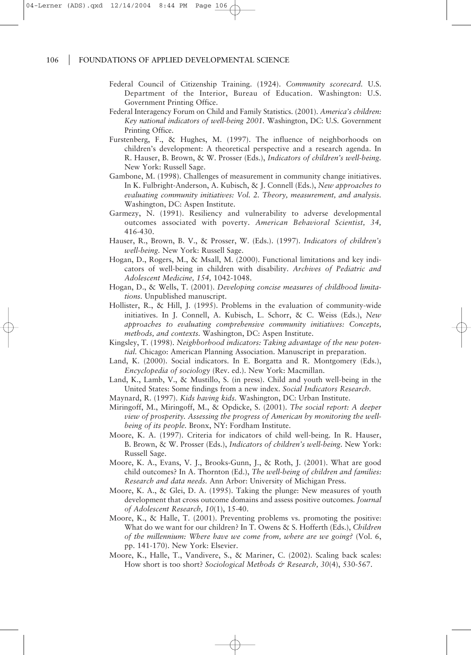- Federal Council of Citizenship Training. (1924). *Community scorecard.* U.S. Department of the Interior, Bureau of Education. Washington: U.S. Government Printing Office.
- Federal Interagency Forum on Child and Family Statistics. (2001). *America's children: Key national indicators of well-being 2001.* Washington, DC: U.S. Government Printing Office.
- Furstenberg, F., & Hughes, M. (1997). The influence of neighborhoods on children's development: A theoretical perspective and a research agenda. In R. Hauser, B. Brown, & W. Prosser (Eds.), *Indicators of children's well-being.* New York: Russell Sage.
- Gambone, M. (1998). Challenges of measurement in community change initiatives. In K. Fulbright-Anderson, A. Kubisch, & J. Connell (Eds.), *New approaches to evaluating community initiatives: Vol. 2. Theory, measurement, and analysis.* Washington, DC: Aspen Institute.
- Garmezy, N. (1991). Resiliency and vulnerability to adverse developmental outcomes associated with poverty. *American Behavioral Scientist, 34,* 416-430.
- Hauser, R., Brown, B. V., & Prosser, W. (Eds.). (1997). *Indicators of children's well-being.* New York: Russell Sage.
- Hogan, D., Rogers, M., & Msall, M. (2000). Functional limitations and key indicators of well-being in children with disability. *Archives of Pediatric and Adolescent Medicine, 154,* 1042-1048.
- Hogan, D., & Wells, T. (2001). *Developing concise measures of childhood limitations.* Unpublished manuscript.
- Hollister, R., & Hill, J. (1995). Problems in the evaluation of community-wide initiatives. In J. Connell, A. Kubisch, L. Schorr, & C. Weiss (Eds.), *New approaches to evaluating comprehensive community initiatives: Concepts, methods, and contexts.* Washington, DC: Aspen Institute.
- Kingsley, T. (1998). *Neighborhood indicators: Taking advantage of the new potential.* Chicago: American Planning Association. Manuscript in preparation.
- Land, K. (2000). Social indicators. In E. Borgatta and R. Montgomery (Eds.), *Encyclopedia of sociology* (Rev. ed.). New York: Macmillan.
- Land, K., Lamb, V., & Mustillo, S. (in press). Child and youth well-being in the United States: Some findings from a new index. *Social Indicators Research.*
- Maynard, R. (1997). *Kids having kids.* Washington, DC: Urban Institute.
- Miringoff, M., Miringoff, M., & Opdicke, S. (2001). *The social report: A deeper view of prosperity. Assessing the progress of American by monitoring the wellbeing of its people.* Bronx, NY: Fordham Institute.
- Moore, K. A. (1997). Criteria for indicators of child well-being. In R. Hauser, B. Brown, & W. Prosser (Eds.), *Indicators of children's well-being.* New York: Russell Sage.
- Moore, K. A., Evans, V. J., Brooks-Gunn, J., & Roth, J. (2001). What are good child outcomes? In A. Thornton (Ed.), *The well-being of children and families: Research and data needs.* Ann Arbor: University of Michigan Press.
- Moore, K. A., & Glei, D. A. (1995). Taking the plunge: New measures of youth development that cross outcome domains and assess positive outcomes*. Journal of Adolescent Research, 10*(1), 15-40.
- Moore, K., & Halle, T. (2001). Preventing problems vs. promoting the positive: What do we want for our children? In T. Owens & S. Hofferth (Eds.), *Children of the millennium: Where have we come from, where are we going?* (Vol. 6, pp. 141-170). New York: Elsevier.
- Moore, K., Halle, T., Vandivere, S., & Mariner, C. (2002). Scaling back scales: How short is too short? *Sociological Methods & Research*, 30(4), 530-567.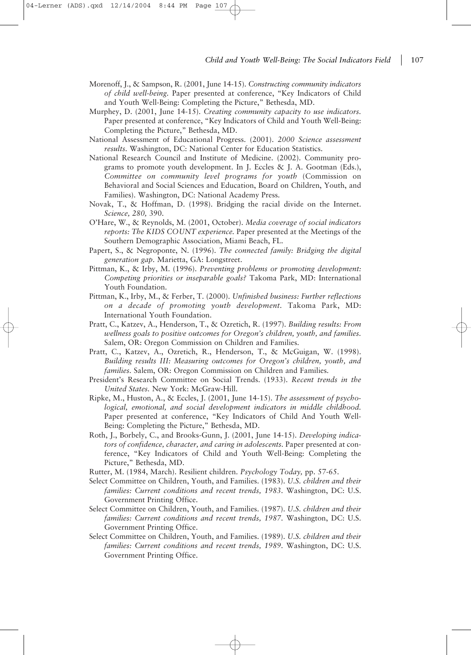- Morenoff, J., & Sampson, R. (2001, June 14-15). *Constructing community indicators of child well-being.* Paper presented at conference, "Key Indicators of Child and Youth Well-Being: Completing the Picture," Bethesda, MD.
- Murphey, D. (2001, June 14-15). *Creating community capacity to use indicators.* Paper presented at conference, "Key Indicators of Child and Youth Well-Being: Completing the Picture," Bethesda, MD.
- National Assessment of Educational Progress. (2001). *2000 Science assessment results.* Washington, DC: National Center for Education Statistics.
- National Research Council and Institute of Medicine. (2002). Community programs to promote youth development. In J. Eccles & J. A. Gootman (Eds.), *Committee on community level programs for youth* (Commission on Behavioral and Social Sciences and Education, Board on Children, Youth, and Families). Washington, DC: National Academy Press.
- Novak, T., & Hoffman, D. (1998). Bridging the racial divide on the Internet. *Science, 280,* 390.
- O'Hare, W., & Reynolds, M. (2001, October). *Media coverage of social indicators reports: The KIDS COUNT experience.* Paper presented at the Meetings of the Southern Demographic Association, Miami Beach, FL.
- Papert, S., & Negroponte, N. (1996). *The connected family: Bridging the digital generation gap.* Marietta, GA: Longstreet.
- Pittman, K., & Irby, M. (1996). *Preventing problems or promoting development: Competing priorities or inseparable goals?* Takoma Park, MD: International Youth Foundation.
- Pittman, K., Irby, M., & Ferber, T. (2000). *Unfinished business: Further reflections on a decade of promoting youth development.* Takoma Park, MD: International Youth Foundation.
- Pratt, C., Katzev, A., Henderson, T., & Ozretich, R. (1997). *Building results: From wellness goals to positive outcomes for Oregon's children, youth, and families.* Salem, OR: Oregon Commission on Children and Families.
- Pratt, C., Katzev, A., Ozretich, R., Henderson, T., & McGuigan, W. (1998). *Building results III: Measuring outcomes for Oregon's children, youth, and families.* Salem, OR: Oregon Commission on Children and Families.
- President's Research Committee on Social Trends. (1933). *Recent trends in the United States.* New York: McGraw-Hill.
- Ripke, M., Huston, A., & Eccles, J. (2001, June 14-15). *The assessment of psychological, emotional, and social development indicators in middle childhood.* Paper presented at conference, "Key Indicators of Child And Youth Well-Being: Completing the Picture," Bethesda, MD.
- Roth, J., Borbely, C., and Brooks-Gunn, J. (2001, June 14-15). *Developing indicators of confidence, character, and caring in adolescents.* Paper presented at conference, "Key Indicators of Child and Youth Well-Being: Completing the Picture," Bethesda, MD.
- Rutter, M. (1984, March). Resilient children. *Psychology Today,* pp. 57-65.
- Select Committee on Children, Youth, and Families. (1983). *U.S. children and their families: Current conditions and recent trends, 1983.* Washington, DC: U.S. Government Printing Office.
- Select Committee on Children, Youth, and Families. (1987). *U.S. children and their families: Current conditions and recent trends, 1987.* Washington, DC: U.S. Government Printing Office.
- Select Committee on Children, Youth, and Families. (1989). *U.S. children and their families: Current conditions and recent trends, 1989.* Washington, DC: U.S. Government Printing Office.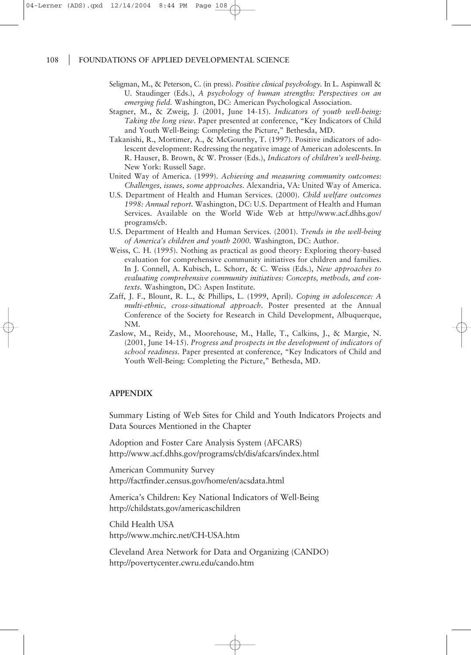- Seligman, M., & Peterson, C. (in press). *Positive clinical psychology.* In L. Aspinwall & U. Staudinger (Eds.), *A psychology of human strengths: Perspectives on an emerging field.* Washington, DC: American Psychological Association.
- Stagner, M., & Zweig, J. (2001, June 14-15). *Indicators of youth well-being: Taking the long view.* Paper presented at conference, "Key Indicators of Child and Youth Well-Being: Completing the Picture," Bethesda, MD.
- Takanishi, R., Mortimer, A., & McGourthy, T. (1997). Positive indicators of adolescent development: Redressing the negative image of American adolescents. In R. Hauser, B. Brown, & W. Prosser (Eds.), *Indicators of children's well-being.* New York: Russell Sage.
- United Way of America. (1999). *Achieving and measuring community outcomes: Challenges, issues, some approaches.* Alexandria, VA: United Way of America.
- U.S. Department of Health and Human Services. (2000). *Child welfare outcomes 1998: Annual report.* Washington, DC: U.S. Department of Health and Human Services. Available on the World Wide Web at http://www.acf.dhhs.gov/ programs/cb.
- U.S. Department of Health and Human Services. (2001). *Trends in the well-being of America's children and youth 2000.* Washington, DC: Author.
- Weiss, C. H. (1995). Nothing as practical as good theory: Exploring theory-based evaluation for comprehensive community initiatives for children and families. In J. Connell, A. Kubisch, L. Schorr, & C. Weiss (Eds.), *New approaches to evaluating comprehensive community initiatives: Concepts, methods, and contexts.* Washington, DC: Aspen Institute.
- Zaff, J. F., Blount, R. L., & Phillips, L. (1999, April). *Coping in adolescence: A multi-ethnic, cross-situational approach.* Poster presented at the Annual Conference of the Society for Research in Child Development, Albuquerque, NM.
- Zaslow, M., Reidy, M., Moorehouse, M., Halle, T., Calkins, J., & Margie, N. (2001, June 14-15). *Progress and prospects in the development of indicators of school readiness.* Paper presented at conference, "Key Indicators of Child and Youth Well-Being: Completing the Picture," Bethesda, MD.

#### **APPENDIX**

Summary Listing of Web Sites for Child and Youth Indicators Projects and Data Sources Mentioned in the Chapter

Adoption and Foster Care Analysis System (AFCARS) http://www.acf.dhhs.gov/programs/cb/dis/afcars/index.html

American Community Survey http://factfinder.census.gov/home/en/acsdata.html

America's Children: Key National Indicators of Well-Being http://childstats.gov/americaschildren

Child Health USA http://www.mchirc.net/CH-USA.htm

Cleveland Area Network for Data and Organizing (CANDO) http://povertycenter.cwru.edu/cando.htm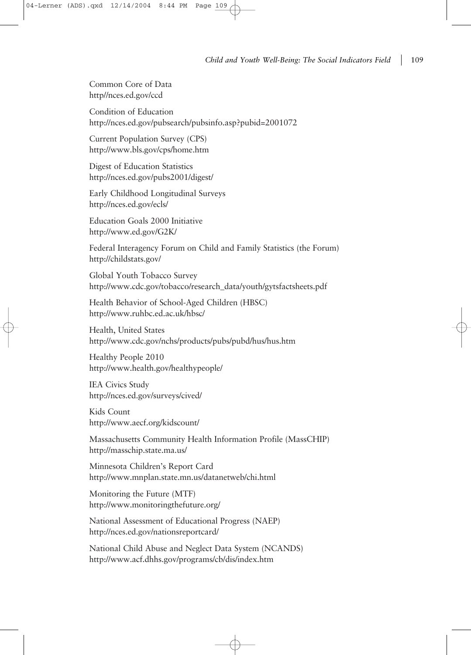#### *Child and Youth Well-Being: The Social Indicators Field* 109

Common Core of Data http//nces.ed.gov/ccd

Condition of Education http://nces.ed.gov/pubsearch/pubsinfo.asp?pubid=2001072

Current Population Survey (CPS) http://www.bls.gov/cps/home.htm

Digest of Education Statistics http://nces.ed.gov/pubs2001/digest/

Early Childhood Longitudinal Surveys http://nces.ed.gov/ecls/

Education Goals 2000 Initiative http://www.ed.gov/G2K/

Federal Interagency Forum on Child and Family Statistics (the Forum) http://childstats.gov/

Global Youth Tobacco Survey http://www.cdc.gov/tobacco/research\_data/youth/gytsfactsheets.pdf

Health Behavior of School-Aged Children (HBSC) http://www.ruhbc.ed.ac.uk/hbsc/

Health, United States http://www.cdc.gov/nchs/products/pubs/pubd/hus/hus.htm

Healthy People 2010 http://www.health.gov/healthypeople/

IEA Civics Study http://nces.ed.gov/surveys/cived/

Kids Count http://www.aecf.org/kidscount/

Massachusetts Community Health Information Profile (MassCHIP) http://masschip.state.ma.us/

Minnesota Children's Report Card http://www.mnplan.state.mn.us/datanetweb/chi.html

Monitoring the Future (MTF) http://www.monitoringthefuture.org/

National Assessment of Educational Progress (NAEP) http://nces.ed.gov/nationsreportcard/

National Child Abuse and Neglect Data System (NCANDS) http://www.acf.dhhs.gov/programs/cb/dis/index.htm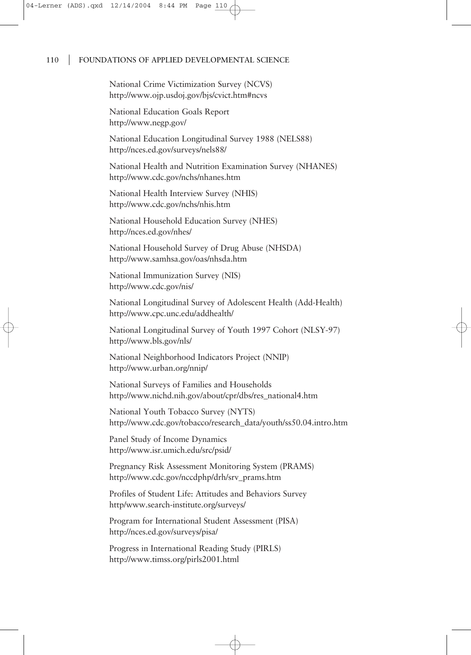National Crime Victimization Survey (NCVS) http://www.ojp.usdoj.gov/bjs/cvict.htm#ncvs

National Education Goals Report http://www.negp.gov/

National Education Longitudinal Survey 1988 (NELS88) http://nces.ed.gov/surveys/nels88/

National Health and Nutrition Examination Survey (NHANES) http://www.cdc.gov/nchs/nhanes.htm

National Health Interview Survey (NHIS) http://www.cdc.gov/nchs/nhis.htm

National Household Education Survey (NHES) http://nces.ed.gov/nhes/

National Household Survey of Drug Abuse (NHSDA) http://www.samhsa.gov/oas/nhsda.htm

National Immunization Survey (NIS) http://www.cdc.gov/nis/

National Longitudinal Survey of Adolescent Health (Add-Health) http://www.cpc.unc.edu/addhealth/

National Longitudinal Survey of Youth 1997 Cohort (NLSY-97) http://www.bls.gov/nls/

National Neighborhood Indicators Project (NNIP) http://www.urban.org/nnip/

National Surveys of Families and Households http://www.nichd.nih.gov/about/cpr/dbs/res\_national4.htm

National Youth Tobacco Survey (NYTS) http://www.cdc.gov/tobacco/research\_data/youth/ss50.04.intro.htm

Panel Study of Income Dynamics http://www.isr.umich.edu/src/psid/

Pregnancy Risk Assessment Monitoring System (PRAMS) http://www.cdc.gov/nccdphp/drh/srv\_prams.htm

Profiles of Student Life: Attitudes and Behaviors Survey http/www.search-institute.org/surveys/

Program for International Student Assessment (PISA) http://nces.ed.gov/surveys/pisa/

Progress in International Reading Study (PIRLS) http://www.timss.org/pirls2001.html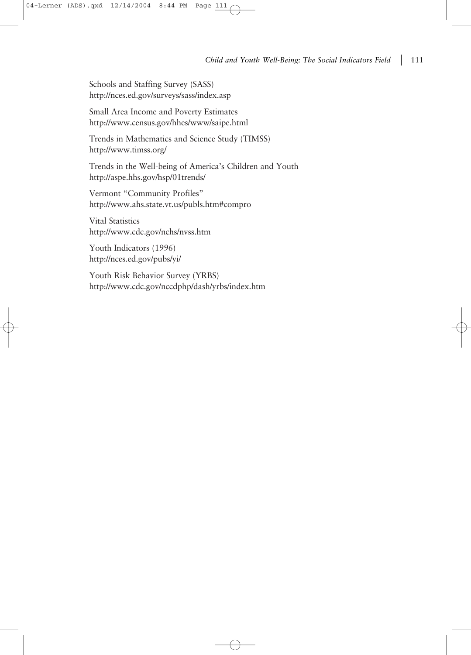## *Child and Youth Well-Being: The Social Indicators Field* 111

Schools and Staffing Survey (SASS) http://nces.ed.gov/surveys/sass/index.asp

Small Area Income and Poverty Estimates http://www.census.gov/hhes/www/saipe.html

Trends in Mathematics and Science Study (TIMSS) http://www.timss.org/

Trends in the Well-being of America's Children and Youth http://aspe.hhs.gov/hsp/01trends/

Vermont "Community Profiles" http://www.ahs.state.vt.us/publs.htm#compro

Vital Statistics http://www.cdc.gov/nchs/nvss.htm

Youth Indicators (1996) http://nces.ed.gov/pubs/yi/

Youth Risk Behavior Survey (YRBS) http://www.cdc.gov/nccdphp/dash/yrbs/index.htm